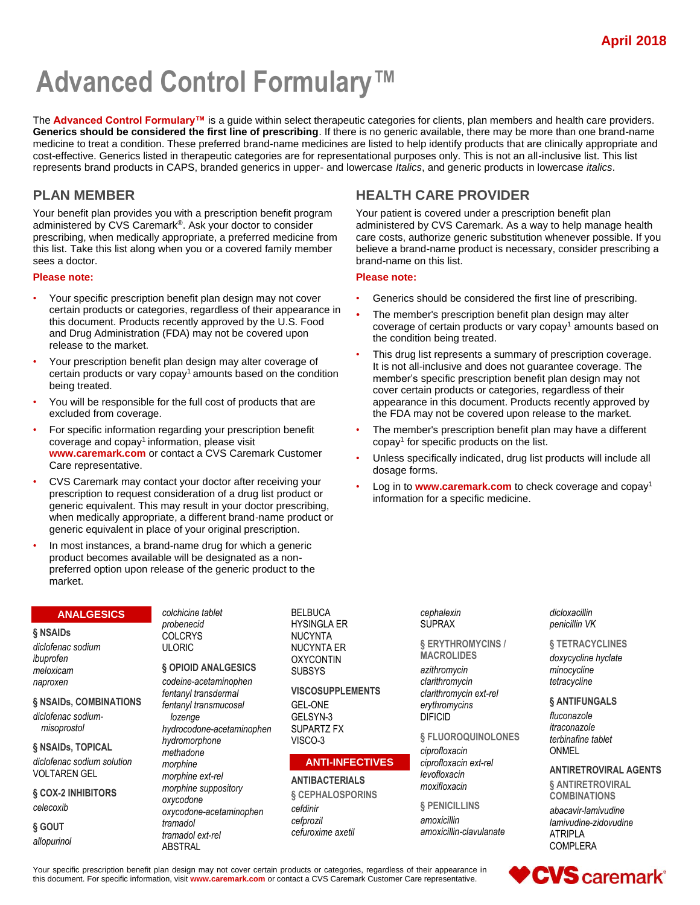# **Advanced Control Formulary™**

The **Advanced Control Formulary™** is a guide within select therapeutic categories for clients, plan members and health care providers. **Generics should be considered the first line of prescribing**. If there is no generic available, there may be more than one brand-name medicine to treat a condition. These preferred brand-name medicines are listed to help identify products that are clinically appropriate and cost-effective. Generics listed in therapeutic categories are for representational purposes only. This is not an all-inclusive list. This list represents brand products in CAPS, branded generics in upper- and lowercase *Italics*, and generic products in lowercase *italics*.

### **PLAN MEMBER**

Your benefit plan provides you with a prescription benefit program administered by CVS Caremark®. Ask your doctor to consider prescribing, when medically appropriate, a preferred medicine from this list. Take this list along when you or a covered family member sees a doctor.

#### **Please note:**

- Your specific prescription benefit plan design may not cover certain products or categories, regardless of their appearance in this document. Products recently approved by the U.S. Food and Drug Administration (FDA) may not be covered upon release to the market.
- Your prescription benefit plan design may alter coverage of certain products or vary copay<sup>1</sup> amounts based on the condition being treated.
- You will be responsible for the full cost of products that are excluded from coverage.
- For specific information regarding your prescription benefit  $coverage$  and  $copay<sup>1</sup>$  information, please visit **www.caremark.com** or contact a CVS Caremark Customer Care representative.
- CVS Caremark may contact your doctor after receiving your prescription to request consideration of a drug list product or generic equivalent. This may result in your doctor prescribing, when medically appropriate, a different brand-name product or generic equivalent in place of your original prescription.
- In most instances, a brand-name drug for which a generic product becomes available will be designated as a nonpreferred option upon release of the generic product to the market.

#### **ANALGESICS**

**§ NSAIDs** *diclofenac sodium ibuprofen meloxicam naproxen*

**§ NSAIDs, COMBINATIONS**

*diclofenac sodiummisoprostol* **§ NSAIDs, TOPICAL**

*diclofenac sodium solution* VOLTAREN GEL

**§ COX-2 INHIBITORS** *celecoxib*

**§ GOUT** *allopurinol* *colchicine tablet probenecid* COLCRYS ULORIC

*fentanyl transdermal fentanyl transmucosal lozenge hydrocodone-acetaminophen hydromorphone methadone morphine morphine ext-rel morphine suppository oxycodone oxycodone-acetaminophen tramadol tramadol ext-rel* ABSTRAL

**BELBUCA** HYSINGLA ER NUCYNTA NUCYNTA ER **OXYCONTIN SUBSYS** 

**VISCOSUPPLEMENTS** GEL-ONE GELSYN-3 SUPARTZ FX VISCO-3

#### **ANTI-INFECTIVES**

**ANTIBACTERIALS § CEPHALOSPORINS** *cefdinir cefprozil cefuroxime axetil*

*cephalexin* SUPRAX

#### **§ ERYTHROMYCINS / MACROLIDES**

*azithromycin clarithromycin clarithromycin ext-rel erythromycins* DIFICID

**§ FLUOROQUINOLONES**

*ciprofloxacin ciprofloxacin ext-rel levofloxacin moxifloxacin*

#### **§ PENICILLINS**

*amoxicillin amoxicillin-clavulanate* *dicloxacillin penicillin VK*

**§ TETRACYCLINES**

*doxycycline hyclate minocycline tetracycline*

#### **§ ANTIFUNGALS**

*fluconazole itraconazole terbinafine tablet* **ONMEL** 

#### **ANTIRETROVIRAL AGENTS**

**§ ANTIRETROVIRAL COMBINATIONS** *abacavir-lamivudine lamivudine-zidovudine* ATRIPLA COMPLERA

Your specific prescription benefit plan design may not cover certain products or categories, regardless of their appearance in this document. For specific information, visit **www.caremark.com** or contact a CVS Caremark Customer Care representative.

## **HEALTH CARE PROVIDER**

Your patient is covered under a prescription benefit plan administered by CVS Caremark. As a way to help manage health care costs, authorize generic substitution whenever possible. If you believe a brand-name product is necessary, consider prescribing a brand-name on this list.

#### **Please note:**

- Generics should be considered the first line of prescribing.
- The member's prescription benefit plan design may alter coverage of certain products or vary copay<sup>1</sup> amounts based on the condition being treated.
- This drug list represents a summary of prescription coverage. It is not all-inclusive and does not guarantee coverage. The member's specific prescription benefit plan design may not cover certain products or categories, regardless of their appearance in this document. Products recently approved by the FDA may not be covered upon release to the market.
- The member's prescription benefit plan may have a different copay<sup>1</sup> for specific products on the list.
- Unless specifically indicated, drug list products will include all dosage forms.
- Log in to **www.caremark.com** to check coverage and copay<sup>1</sup> information for a specific medicine.

**CVS** caremark®

#### **§ OPIOID ANALGESICS**

*codeine-acetaminophen*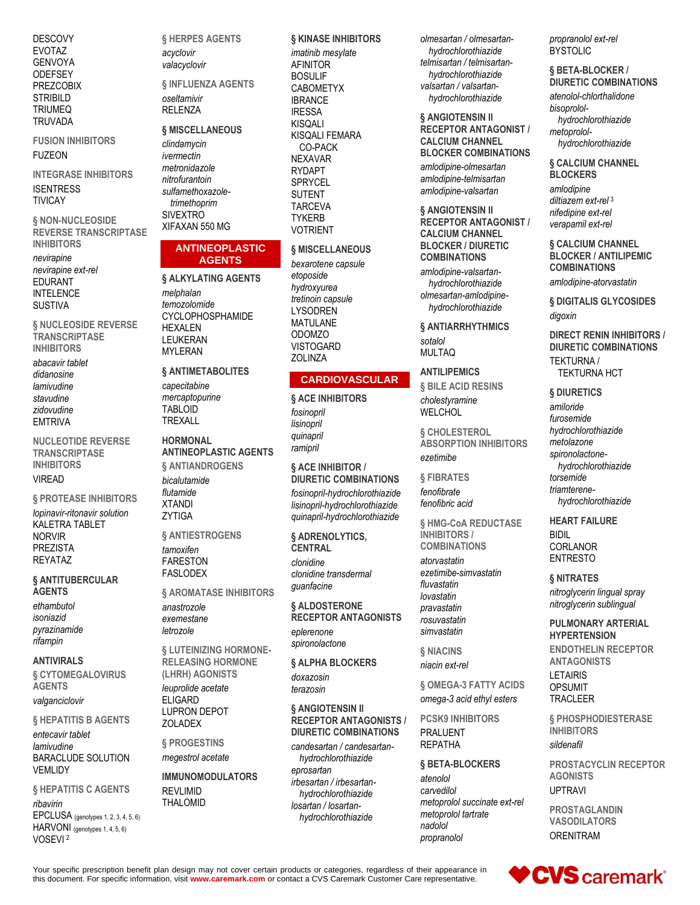**DESCOVY EVOTAZ GENVOYA** ODEFSEY **PREZCOBIX** STRIBILD **TRIUMEQ TRUVADA** 

**FUSION INHIBITORS FUZFON** 

**INTEGRASE INHIBITORS ISENTRESS TIVICAY** 

§ NON-NUCLEOSIDE **REVERSE TRANSCRIPTASE INHIBITORS** nevirapine nevirapine ext-rel **EDURANT INTFI FNCF SUSTIVA** 

§ NUCLEOSIDE REVERSE **TRANSCRIPTASE INHIRITORS** 

abacavir tablet didanosine lamivudine stavudine zidovudine **EMTRIVA** 

**NUCLEOTIDE REVERSE TRANSCRIPTASE INHIBITORS VIREAD** 

§ PROTEASE INHIBITORS lopinavir-ritonavir solution **KALETRA TABLET** 

**NORVIR PREZISTA REYATAZ** 

#### § ANTITUBERCULAR **AGENTS**

ethambutol isoniazid pyrazinamide rifampin

#### **ANTIVIRALS**

**& CYTOMEGALOVIRUS AGENTS** valganciclovir

§ HEPATITIS B AGENTS

entecavir tablet *lamivudine* **BARACLUDE SOLUTION VEMLIDY** 

§ HEPATITIS C AGENTS ribavirin EPCLUSA (genotypes 1, 2, 3, 4, 5, 6) HARVONI (genotypes 1, 4, 5, 6) VOSEVI<sup>2</sup>

**§HERPES AGENTS** acvclovir valacyclovir

**§ INFLUENZA AGENTS** oseltamivir **RELENZA** 

#### § MISCELLANEOUS

clindamycin ivermectin metronidazole nitrofurantoin sulfamethoxazoletrimethoprim **SIVEXTRO** XIFAXAN 550 MG

#### **ANTINEOPLASTIC AGENTS**

#### **& ALKYLATING AGENTS**

melphalan temozolomide **CYCLOPHOSPHAMIDE HEXALEN LEUKERAN MYLERAN** 

#### § ANTIMETABOLITES

capecitabine mercaptopurine **TABLOID** TREXALL

#### **HORMONAL ANTINEOPLASTIC AGENTS** § ANTIANDROGENS

bicalutamide flutamide **XTANDI ZYTIGA** 

#### § ANTIESTROGENS

tamoxifen **FARESTON FASLODEX** § AROMATASE INHIBITORS

anastrozole exemestane letrozole

**& LUTEINIZING HORMONE-RELEASING HORMONE** (LHRH) AGONISTS leuprolide acetate **ELIGARD LUPRON DEPOT ZOLADEX** 

**§ PROGESTINS** 

megestrol acetate

**IMMUNOMODULATORS REVLIMID THALOMID** 

#### § KINASE INHIBITORS

imatinib mesylate **AFINITOR BOSULIF CABOMETYX IBRANCE IRESSA KISQALI KISOALI FEMARA CO-PACK NEXAVAR RYDAPT SPRYCEL SUTENT TARCEVA TYKFRB VOTRIENT** 

#### **§ MISCELLANEOUS**

bexarotene capsule etoposide hydroxyurea tretinoin capsule **LYSODREN MATULANE ODOMZO VISTOGARD** ZOLINZA

#### **CARDIOVASCULAR**

#### **§ ACE INHIBITORS** fosinopril lisinopril quinapril ramipril

§ ACE INHIBITOR / **DIURETIC COMBINATIONS** fosinopril-hydrochlorothiazide lisinopril-hydrochlorothiazide quinapril-hydrochlorothiazide

#### § ADRENOLYTICS,

**CENTRAL** clonidine clonidine transdermal quanfacine

**& ALDOSTERONE RECEPTOR ANTAGONISTS** enlerenone spironolactone

**§ ALPHA BLOCKERS** dovazosin terazosin

**§ ANGIOTENSIN II RECEPTOR ANTAGONISTS / DIURETIC COMBINATIONS** candesartan / candesartan-

hydrochlorothiazide eprosartan irbesartan / irbesartanhydrochlorothiazide losartan / losartanhydrochlorothiazide

olmesartan / olmesartanhydrochlorothiazide telmisartan / telmisartanhydrochlorothiazide valsartan / valsartanhydrochlorothiazide

#### **§ ANGIOTENSIN II RECEPTOR ANTAGONIST / CALCIUM CHANNEL BLOCKER COMBINATIONS**

amlodipine-olmesartan amlodipine-telmisartan amlodipine-valsartan

§ ANGIOTENSIN II **RECEPTOR ANTAGONIST / CALCIUM CHANNEL BLOCKER / DIURETIC COMBINATIONS** amlodipine-valsartan-

hydrochlorothiazide olmesartan-amlodipinehydrochlorothiazide

§ ANTIARRHYTHMICS sotalol **MULTAQ** 

#### **ANTILIPEMICS § BILE ACID RESINS**

cholestyramine WELCHOL

**& CHOLESTEROL ABSORPTION INHIBITORS** ezetimibe

**& FIBRATES** fenofibrate

fenofibric acid

§ HMG-CoA REDUCTASE **INHIBITORS / COMBINATIONS** 

atorvastatin ezetimibe-simvastatin fluvastatin lovastatin pravastatin rosuvastatin simvastatin

§ NIACINS

niacin ext-rel

**§ OMEGA-3 FATTY ACIDS** omega-3 acid ethyl esters

**PCSK9 INHIBITORS PRALUENT REPATHA** 

#### § BETA-BLOCKERS

atenolol carvedilol metoprolol succinate ext-rel metoprolol tartrate nadolol propranolol

propranolol ext-rel **BYSTOLIC** 

#### § BETA-BLOCKER / **DIURETIC COMBINATIONS**

atenolol-chlorthalidone bisoprololhydrochlorothiazide metoprololhydrochlorothiazide

§ CALCIUM CHANNEL **BLOCKERS** amlodipine diltiazem ext-rel<sup>3</sup> nifedipine ext-rel verapamil ext-rel

§ CALCIUM CHANNEL **BLOCKER / ANTILIPEMIC COMBINATIONS** amlodipine-atorvastatin

§ DIGITALIS GLYCOSIDES digoxin

**DIRECT RENIN INHIBITORS / DIURETIC COMBINATIONS TEKTURNA / TEKTURNA HCT** 

**& DIURETICS** 

amiloride furosemide hydrochlorothiazide metolazone spironolactonehydrochlorothiazide torsemide triamterenehydrochlorothiazide

**HEART FAILURE BIDIL** CORLANOR **ENTRESTO** 

#### § NITRATES

nitroglycerin lingual spray nitroglycerin sublingual

**PULMONARY ARTERIAL HYPERTENSION ENDOTHELIN RECEPTOR ANTAGONISTS LETAIRIS OPSUMIT TRACLEER** 

§ PHOSPHODIESTERASE **INHIBITORS** sildenafil

PROSTACYCLIN RECEPTOR **AGONISTS UPTRAVI** 

**PROSTAGLANDIN VASODILATORS ORENITRAM** 

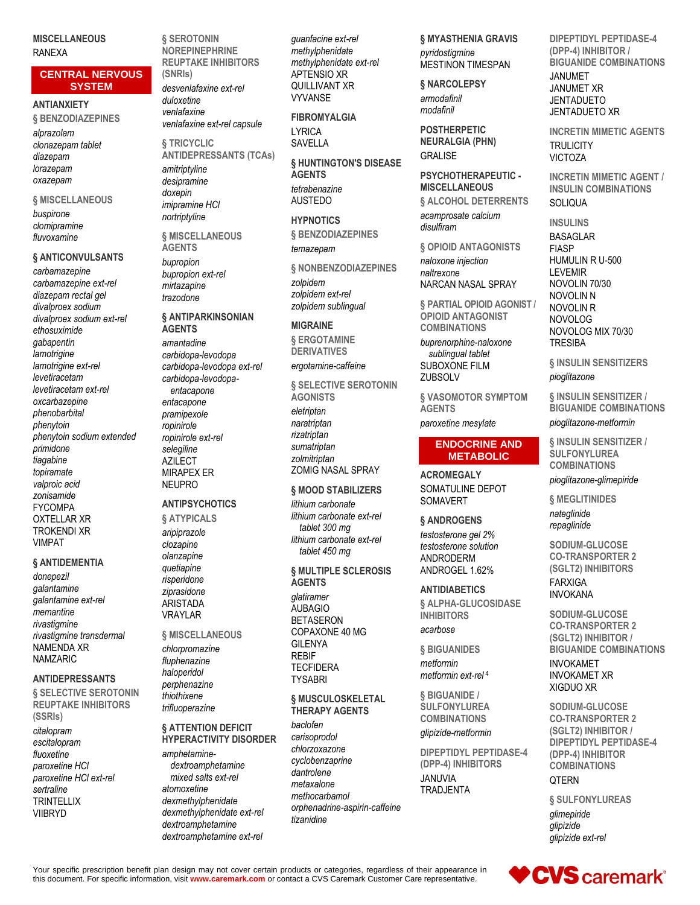#### **MISCELLANEOUS** RANEXA

#### **CENTRAL NERVOUS SYSTEM**

#### **ANTIANXIETY**

- **§ BENZODIAZEPINES**
- *alprazolam clonazepam tablet diazepam lorazepam oxazepam*

#### **§ MISCELLANEOUS**

*buspirone clomipramine fluvoxamine*

#### **§ ANTICONVULSANTS**

*carbamazepine carbamazepine ext-rel diazepam rectal gel divalproex sodium divalproex sodium ext-rel ethosuximide gabapentin lamotrigine lamotrigine ext-rel levetiracetam levetiracetam ext-rel oxcarbazepine phenobarbital phenytoin phenytoin sodium extended primidone tiagabine topiramate valproic acid zonisamide* FYCOMPA OXTELLAR XR TROKENDI XR VIMPAT

#### **§ ANTIDEMENTIA**

*donepezil galantamine galantamine ext-rel memantine rivastigmine rivastigmine transdermal* NAMENDA XR NAMZARIC

#### **ANTIDEPRESSANTS**

**§ SELECTIVE SEROTONIN REUPTAKE INHIBITORS (SSRIs)**

*citalopram escitalopram fluoxetine paroxetine HCl paroxetine HCl ext-rel sertraline* **TRINTELLIX** VIIBRYD

**§ SEROTONIN NOREPINEPHRINE REUPTAKE INHIBITORS (SNRIs)** *desvenlafaxine ext-rel duloxetine venlafaxine*

*venlafaxine ext-rel capsule*

#### **§ TRICYCLIC ANTIDEPRESSANTS (TCAs)**

*amitriptyline desipramine doxepin imipramine HCl nortriptyline*

**§ MISCELLANEOUS AGENTS**

*bupropion bupropion ext-rel mirtazapine trazodone*

#### **§ ANTIPARKINSONIAN AGENTS**

*amantadine carbidopa-levodopa carbidopa-levodopa ext-rel carbidopa-levodopaentacapone entacapone pramipexole ropinirole ropinirole ext-rel selegiline* AZILECT MIRAPEX ER NEUPRO

#### **ANTIPSYCHOTICS**

**§ ATYPICALS** *aripiprazole clozapine olanzapine quetiapine risperidone ziprasidone* ARISTADA VRAYLAR

#### **§ MISCELLANEOUS**

*chlorpromazine fluphenazine haloperidol perphenazine thiothixene trifluoperazine*

#### **§ ATTENTION DEFICIT HYPERACTIVITY DISORDER**

*amphetaminedextroamphetamine mixed salts ext-rel atomoxetine dexmethylphenidate dexmethylphenidate ext-rel dextroamphetamine dextroamphetamine ext-rel*

*guanfacine ext-rel methylphenidate methylphenidate ext-rel* APTENSIO XR QUILLIVANT XR VYVANSE

**FIBROMYALGIA** LYRICA SAVELLA

**§ HUNTINGTON'S DISEASE AGENTS** *tetrabenazine* AUSTEDO

#### **HYPNOTICS**

**§ BENZODIAZEPINES** *temazepam*

**§ NONBENZODIAZEPINES**

*zolpidem zolpidem ext-rel zolpidem sublingual*

#### **MIGRAINE**

**§ ERGOTAMINE DERIVATIVES**

*ergotamine-caffeine*

**§ SELECTIVE SEROTONIN AGONISTS** *eletriptan naratriptan rizatriptan sumatriptan zolmitriptan* ZOMIG NASAL SPRAY

### **§ MOOD STABILIZERS**

*lithium carbonate lithium carbonate ext-rel tablet 300 mg lithium carbonate ext-rel tablet 450 mg*

#### **§ MULTIPLE SCLEROSIS**

**AGENTS** *glatiramer* AUBAGIO BETASERON COPAXONE 40 MG GILENYA REBIF **TECFIDERA TYSABRI** 

#### **§ MUSCULOSKELETAL THERAPY AGENTS**

*baclofen carisoprodol chlorzoxazone cyclobenzaprine dantrolene metaxalone methocarbamol orphenadrine-aspirin-caffeine tizanidine*

**§ MYASTHENIA GRAVIS** *pyridostigmine* MESTINON TIMESPAN

**§ NARCOLEPSY** *armodafinil modafinil*

**POSTHERPETIC NEURALGIA (PHN)** GRALISE

**PSYCHOTHERAPEUTIC - MISCELLANEOUS**

**§ ALCOHOL DETERRENTS** *acamprosate calcium disulfiram*

**§ OPIOID ANTAGONISTS**

*naloxone injection naltrexone* NARCAN NASAL SPRAY

**§ PARTIAL OPIOID AGONIST / OPIOID ANTAGONIST COMBINATIONS**

*buprenorphine-naloxone sublingual tablet* SUBOXONE FILM **ZUBSOLV** 

**§ VASOMOTOR SYMPTOM AGENTS**

*paroxetine mesylate*

#### **ENDOCRINE AND METABOLIC**

**ACROMEGALY** SOMATULINE DEPOT SOMAVERT

**§ ANDROGENS**

*testosterone gel 2% testosterone solution* ANDRODERM ANDROGEL 1.62%

**ANTIDIABETICS**

**§ ALPHA-GLUCOSIDASE INHIBITORS**

*acarbose*

**§ BIGUANIDES** *metformin metformin ext-rel* <sup>4</sup>

**§ BIGUANIDE / SULFONYLUREA COMBINATIONS** *glipizide-metformin*

**DIPEPTIDYL PEPTIDASE-4 (DPP-4) INHIBITORS** JANUVIA TRADJENTA

**DIPEPTIDYL PEPTIDASE-4 (DPP-4) INHIBITOR / BIGUANIDE COMBINATIONS** JANUMET JANUMET XR **JENTADUETO** JENTADUETO XR

**INCRETIN MIMETIC AGENTS TRULICITY** VICTOZA

**INCRETIN MIMETIC AGENT / INSULIN COMBINATIONS** SOLIQUA

**INSULINS** BASAGLAR FIASP HUMULIN R U-500 LEVEMIR NOVOLIN 70/30 NOVOLIN N NOVOLIN R NOVOLOG NOVOLOG MIX 70/30 TRESIBA

**§ INSULIN SENSITIZERS** *pioglitazone*

**§ INSULIN SENSITIZER / BIGUANIDE COMBINATIONS** *pioglitazone-metformin*

**§ INSULIN SENSITIZER / SULFONYLUREA COMBINATIONS** *pioglitazone-glimepiride*

**§ MEGLITINIDES** *nateglinide repaglinide*

**SODIUM-GLUCOSE CO-TRANSPORTER 2 (SGLT2) INHIBITORS** FARXIGA INVOKANA

**SODIUM-GLUCOSE CO-TRANSPORTER 2 (SGLT2) INHIBITOR / BIGUANIDE COMBINATIONS**

INVOKAMET INVOKAMET XR XIGDUO XR

**SODIUM-GLUCOSE CO-TRANSPORTER 2 (SGLT2) INHIBITOR / DIPEPTIDYL PEPTIDASE-4 (DPP-4) INHIBITOR COMBINATIONS** QTERN

**§ SULFONYLUREAS** *glimepiride glipizide glipizide ext-rel*



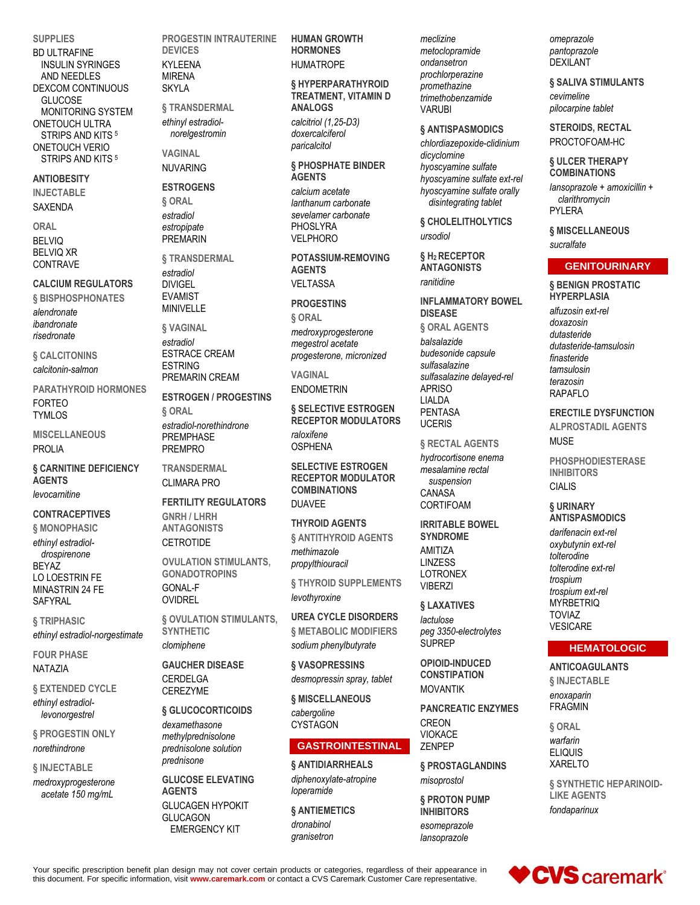#### **SUPPLIES**

**BD ULTRAFINE INSULIN SYRINGES** AND NEEDLES **DEXCOM CONTINUOUS GLUCOSE MONITORING SYSTEM ONETOUCH ULTRA** STRIPS AND KITS<sup>5</sup> **ONETOUCH VERIO** STRIPS AND KITS<sup>5</sup>

#### **ANTIOBESITY**

**INJECTABLE** 

#### SAXENDA

**ORAL BELVIQ BELVIQ XR** CONTRAVE

#### **CALCIUM REGULATORS**

**& BISPHOSPHONATES** alendronate ibandronate

risedronate

**& CALCITONINS** calcitonin-salmon

**PARATHYROID HORMONES FORTFO** 

**TYMLOS** 

**MISCELLANEOUS PROLIA** 

§ CARNITINE DEFICIENCY **AGENTS** levocarnitine

#### **CONTRACEPTIVES**

§ MONOPHASIC ethinyl estradiol-

drospirenone **BEYAZ LO LOESTRIN FE** MINASTRIN 24 FE **SAFYRAI** 

§ TRIPHASIC ethinyl estradiol-norgestimate

**FOUR PHASE NATAZIA** 

**§ EXTENDED CYCLE** ethinyl estradiollevonorgestrel

§ PROGESTIN ONLY norethindrone

**§ INJECTABLE** 

medroxyprogesterone acetate 150 mg/mL

**PROGESTIN INTRAUTERINE DEVICES KYLEENA MIRENA SKYLA** 

§ TRANSDERMAL ethinyl estradiolnorelgestromin

**VAGINAI NUVARING** 

#### **ESTROGENS**

§ ORAL estradiol estropipate **PREMARIN** 

§ TRANSDERMAL estradiol **DIVIGEL EVAMIST** MINIVELLE

#### § VAGINAL estradiol

**ESTRACE CREAM ESTRING** PREMARIN CREAM

**ESTROGEN / PROGESTINS & ORAL** estradiol-norethindrone **PREMPHASE** 

TRANSDERMAL **CLIMARA PRO** 

**PREMPRO** 

#### **FERTILITY REGULATORS GNRH / LHRH ANTAGONISTS CETROTIDE**

**OVULATION STIMULANTS. GONADOTROPINS GONAL-F OVIDREL** 

**& OVULATION STIMULANTS. SYNTHETIC** clomiphene

**GAUCHER DISEASE** CERDELGA CEREZYME

#### § GLUCOCORTICOIDS

dexamethasone methylprednisolone prednisolone solution prednisone

**GLUCOSE ELEVATING AGENTS GLUCAGEN HYPOKIT GLUCAGON EMERGENCY KIT** 

**HUMAN GROWTH HORMONES HUMATROPE** 

#### § HYPERPARATHYROID TREATMENT, VITAMIN D **ANALOGS**

calcitriol (1,25-D3) doxercalciferol paricalcitol

#### **§ PHOSPHATE BINDER AGENTS**

calcium acetate lanthanum carbonate sevelamer carbonate **PHOSLYRA VELPHORO** 

#### POTASSIUM-REMOVING **AGENTS VELTASSA**

#### **PROGESTINS**

§ ORAL medroxyprogesterone megestrol acetate progesterone, micronized

**VAGINAL ENDOMETRIN** 

§ SELECTIVE ESTROGEN **RECEPTOR MODULATORS** raloxifene **OSPHENA** 

**SELECTIVE ESTROGEN RECEPTOR MODULATOR COMBINATIONS DUAVEE** 

**THYROID AGENTS & ANTITHYROID AGENTS** methimazole propylthiouracil

§ THYROID SUPPLEMENTS levothyroxine

**UREA CYCLE DISORDERS 6 METABOLIC MODIFIERS** sodium phenylbutyrate

§ VASOPRESSINS desmopressin spray, tablet

§ MISCELLANEOUS cabergoline CYSTAGON

#### **GASTROINTESTINAL**

§ ANTIDIARRHEALS diphenoxylate-atropine loperamide

§ ANTIEMETICS dronabinol granisetron

meclizine metoclopramide ondansetron prochlorperazine promethazine trimethobenzamide **VARUBI** 

#### **& ANTISPASMODICS**

chlordiazepoxide-clidinium dicyclomine hyoscyamine sulfate hyoscyamine sulfate ext-rel hyoscyamine sulfate orally disintegrating tablet

**& CHOLELITHOLYTICS** ursodiol

§ H<sub>2</sub> RECEPTOR **ANTAGONISTS** ranitidine

#### **INFLAMMATORY BOWEL DISEASE**

§ ORAL AGENTS balsalazide budesonide capsule sulfasalazine sulfasalazine delayed-rel **APRISO** LIALDA PFNTASA **UCFRIS** 

**& RECTAL AGENTS** 

hydrocortisone enema mesalamine rectal suspension CANASA CORTIFOAM

**IRRITABLE BOWEL SYNDROME** 

**AMITIZA LINZESS LOTRONEX VIBERZI** 

§ LAXATIVES

lactulose peg 3350-electrolytes **SUPREP** 

**OPIOID-INDUCED CONSTIPATION MOVANTIK** 

**PANCREATIC ENZYMES** CREON **VIOKACE 7FNPFP** 

§ PROSTAGLANDINS misoprostol

**§ PROTON PUMP INHIBITORS** esomeprazole lansoprazole

omeprazole pantoprazole DEXILANT

§ SALIVA STIMULANTS

cevimeline pilocarpine tablet

**STEROIDS, RECTAL** PROCTOFOAM-HC

§ ULCER THERAPY **COMBINATIONS** 

lansoprazole + amoxicillin + clarithromycin **PYLERA** 

**6 MISCELLANEOUS** sucralfate

#### **GENITOURINARY**

§ BENIGN PROSTATIC **HYPERPLASIA** alfuzosin ext-rel doxazosin dutasteride dutasteride-tamsulosin finasteride tamsulosin terazosin RAPAFI<sub>O</sub>

**ERECTILE DYSFUNCTION** AI PROSTADII AGENTS **MUSE** 

**PHOSPHODIESTERASE INHIBITORS CIALIS** 

#### **& URINARY ANTISPASMODICS**

darifenacin ext-rel oxybutynin ext-rel tolterodine tolterodine ext-rel trospium trospium ext-rel **MYRBETRIQ TOVIAZ VESICARE** 

#### **HEMATOLOGIC**

**ANTICOAGULANTS § INJECTABLE** enoxaparin FRAGMIN

**& ORAL** warfarin FI IQUIS **XARELTO** 

**§ SYNTHETIC HEPARINOID-LIKE AGENTS** fondaparinux

**♥CVS** caremark®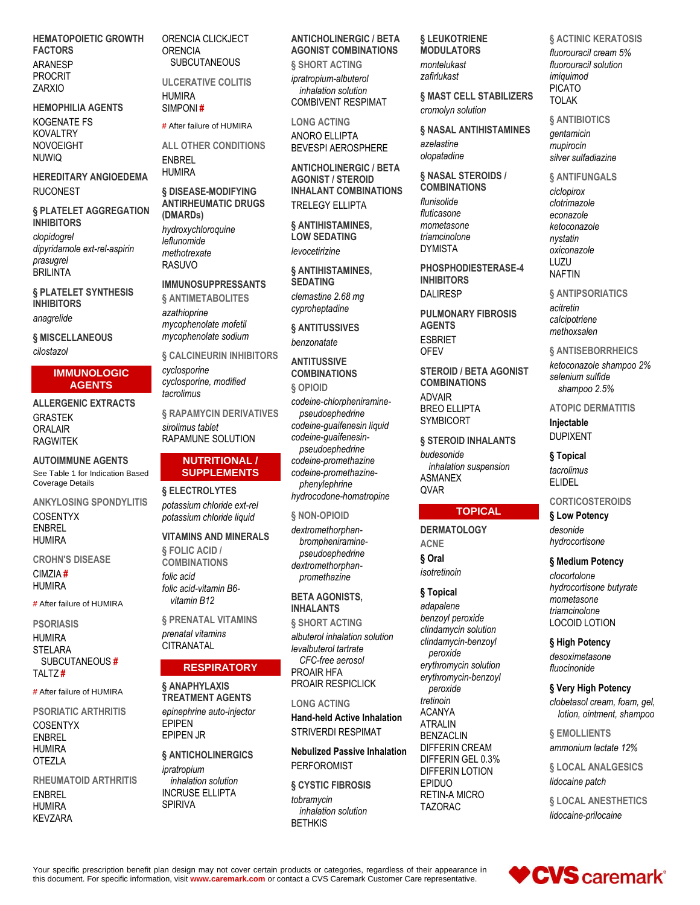**HEMATOPOIETIC GROWTH FACTORS** ARANESP PROCRIT ZARXIO

#### **HEMOPHILIA AGENTS**

KOGENATE FS KOVALTRY NOVOEIGHT NUWIQ

**HEREDITARY ANGIOEDEMA** RUCONEST

**§ PLATELET AGGREGATION INHIBITORS** 

*clopidogrel dipyridamole ext-rel-aspirin prasugrel* **BRILINTA** 

**§ PLATELET SYNTHESIS INHIBITORS** *anagrelide*

**§ MISCELLANEOUS** *cilostazol*

#### **IMMUNOLOGIC AGENTS**

**ALLERGENIC EXTRACTS** GRASTEK ORALAIR RAGWITEK

**AUTOIMMUNE AGENTS** See Table 1 for Indication Based Coverage Details

**ANKYLOSING SPONDYLITIS** COSENTYX ENBREL HUMIRA

**CROHN'S DISEASE**

CIMZIA **#** HUMIRA

**#** After failure of HUMIRA

**PSORIASIS**

HUMIRA **STELARA** 

SUBCUTANEOUS **#** TALTZ **#**

**#** After failure of HUMIRA

**PSORIATIC ARTHRITIS** COSENTYX ENBREL HUMIRA **OTEZLA** 

**RHEUMATOID ARTHRITIS** ENBREL HUMIRA KEVZARA

ORENCIA CLICKJECT **ORENCIA SUBCUTANEOUS** 

**ULCERATIVE COLITIS** HUMIRA SIMPONI **#**

**#** After failure of HUMIRA

**ALL OTHER CONDITIONS** ENBREL HUMIRA

**§ DISEASE-MODIFYING ANTIRHEUMATIC DRUGS (DMARDs)** *hydroxychloroquine leflunomide methotrexate* RASUVO

#### **IMMUNOSUPPRESSANTS**

**§ ANTIMETABOLITES** *azathioprine mycophenolate mofetil mycophenolate sodium*

**§ CALCINEURIN INHIBITORS**

*cyclosporine cyclosporine, modified tacrolimus*

**§ RAPAMYCIN DERIVATIVES** *sirolimus tablet* RAPAMUNE SOLUTION

#### **NUTRITIONAL / SUPPLEMENTS**

**§ ELECTROLYTES** *potassium chloride ext-rel potassium chloride liquid*

**VITAMINS AND MINERALS § FOLIC ACID /** 

**COMBINATIONS** *folic acid folic acid-vitamin B6 vitamin B12*

**§ PRENATAL VITAMINS** *prenatal vitamins* **CITRANATAL** 

#### **RESPIRATORY**

**§ ANAPHYLAXIS TREATMENT AGENTS**

*epinephrine auto-injector* EPIPEN EPIPEN JR

**§ ANTICHOLINERGICS**

*ipratropium inhalation solution* INCRUSE ELLIPTA SPIRIVA

**ANTICHOLINERGIC / BETA AGONIST COMBINATIONS**

**§ SHORT ACTING** *ipratropium-albuterol inhalation solution*

COMBIVENT RESPIMAT **LONG ACTING**

ANORO ELLIPTA BEVESPI AEROSPHERE

**ANTICHOLINERGIC / BETA AGONIST / STEROID INHALANT COMBINATIONS** TRELEGY ELLIPTA

**§ ANTIHISTAMINES, LOW SEDATING** *levocetirizine*

**§ ANTIHISTAMINES, SEDATING** *clemastine 2.68 mg cyproheptadine*

**§ ANTITUSSIVES** *benzonatate*

**ANTITUSSIVE COMBINATIONS § OPIOID** *codeine-chlorpheniraminepseudoephedrine codeine-guaifenesin liquid codeine-guaifenesinpseudoephedrine codeine-promethazine codeine-promethazinephenylephrine hydrocodone-homatropine*

**§ NON-OPIOID**

*dextromethorphanbrompheniraminepseudoephedrine dextromethorphanpromethazine*

#### **BETA AGONISTS, INHALANTS**

**§ SHORT ACTING** *albuterol inhalation solution levalbuterol tartrate CFC-free aerosol* PROAIR HFA PROAIR RESPICLICK

**LONG ACTING**

**Hand-held Active Inhalation** STRIVERDI RESPIMAT

**Nebulized Passive Inhalation** PERFOROMIST

**§ CYSTIC FIBROSIS** *tobramycin inhalation solution* **BETHKIS** 

**§ LEUKOTRIENE MODULATORS**

*montelukast zafirlukast*

**§ MAST CELL STABILIZERS** *cromolyn solution*

**§ NASAL ANTIHISTAMINES** *azelastine olopatadine*

**§ NASAL STEROIDS / COMBINATIONS** *flunisolide fluticasone mometasone triamcinolone* DYMISTA

**PHOSPHODIESTERASE-4 INHIBITORS** DALIRESP

**PULMONARY FIBROSIS AGENTS** ESBRIET **OFEV** 

**STEROID / BETA AGONIST COMBINATIONS** ADVAIR BREO ELLIPTA SYMBICORT

**§ STEROID INHALANTS**

*budesonide inhalation suspension* ASMANEX QVAR

#### **TOPICAL**

**DERMATOLOGY ACNE § Oral** *isotretinoin*

**§ Topical** *adapalene*

*benzoyl peroxide clindamycin solution clindamycin-benzoyl peroxide erythromycin solution erythromycin-benzoyl peroxide tretinoin* ACANYA ATRALIN BENZACLIN DIFFERIN CREAM DIFFERIN GEL 0.3% DIFFERIN LOTION EPIDUO RETIN-A MICRO TAZORAC

**§ ACTINIC KERATOSIS**

*fluorouracil cream 5% fluorouracil solution imiquimod* PICATO TOLAK

**§ ANTIBIOTICS**

*gentamicin mupirocin silver sulfadiazine*

**§ ANTIFUNGALS**

*ciclopirox clotrimazole econazole ketoconazole nystatin oxiconazole* LUZU NAFTIN

**§ ANTIPSORIATICS** *acitretin calcipotriene methoxsalen*

**§ ANTISEBORRHEICS** *ketoconazole shampoo 2% selenium sulfide shampoo 2.5%*

**ATOPIC DERMATITIS Injectable** DUPIXENT

**§ Topical** *tacrolimus* ELIDEL

#### **CORTICOSTEROIDS**

**§ Low Potency** *desonide hydrocortisone*

**§ Medium Potency**

*clocortolone hydrocortisone butyrate mometasone triamcinolone* LOCOID LOTION

**§ High Potency** *desoximetasone fluocinonide*

**§ Very High Potency** *clobetasol cream, foam, gel, lotion, ointment, shampoo*

**§ EMOLLIENTS** *ammonium lactate 12%*

**§ LOCAL ANALGESICS** *lidocaine patch*

**§ LOCAL ANESTHETICS** *lidocaine-prilocaine*

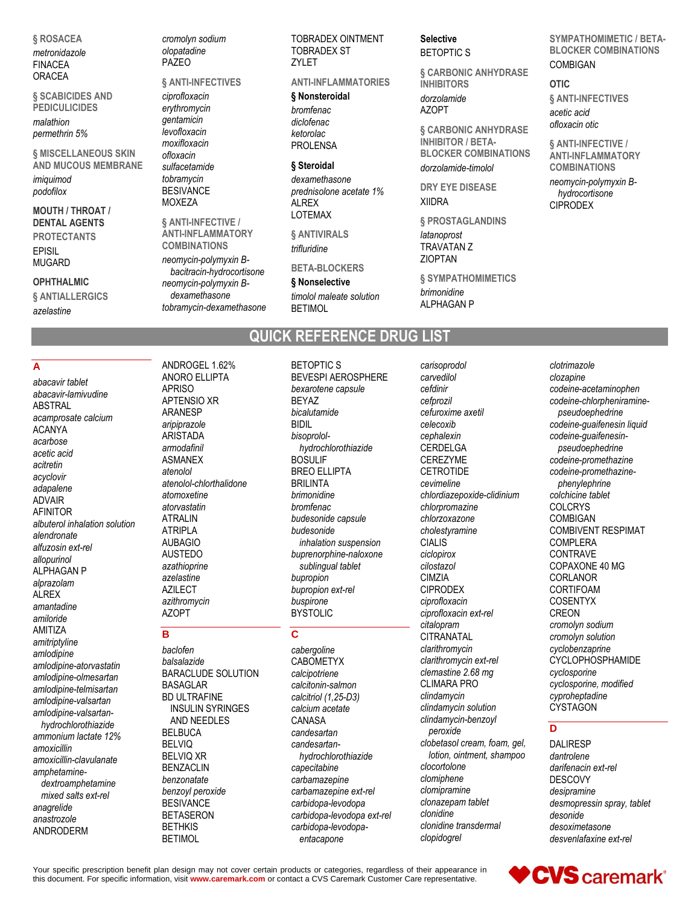#### § ROSACEA

#### metronidazole **FINACEA ORACEA**

**§ SCABICIDES AND PEDICULICIDES** 

malathion permethrin 5%

**§ MISCELLANEOUS SKIN AND MUCOUS MEMBRANE** 

imiauimod podofilox

#### **MOUTH / THROAT / DENTAL AGENTS**

**PROTECTANTS EPISIL MUGARD** 

#### **OPHTHALMIC**

§ ANTIALLERGICS azelastine

#### A

abacavir tablet abacavir-lamivudine **ABSTRAL** acamprosate calcium **ACANYA** acarbose acetic acid acitretin acyclovir adapalene **ADVAIR AFINITOR** albuterol inhalation solution alendronate alfuzosin ext-rel allopurinol ALPHAGAN P alprazolam AI RFX amantadine amiloride AMITIZA amitriptyline amlodipine amlodipine-atorvastatin amlodipine-olmesartan amlodipine-telmisartan amlodipine-valsartan amlodipine-valsartanhydrochlorothiazide ammonium lactate 12% amoxicillin amoxicillin-clavulanate amphetaminedextroamphetamine mixed salts ext-rel anagrelide

anastrozole

ANDRODERM

cromolyn sodium olopatadine **PAZEO** 

#### § ANTI-INFECTIVES

ciprofloxacin erythromycin gentamicin levofloxacin moxifloxacin oflovacin sulfacetamide tobramycin **BESIVANCE MOXEZA** 

## § ANTI-INFECTIVE /

**ANTI-INFLAMMATORY COMBINATIONS** 

neomvcin-polymyxin Bbacitracin-hydrocortisone neomycin-polymyxin Bdexamethasone tobramycin-dexamethasone

ANDROGEL 1.62%

**ANORO ELLIPTA** 

**APTENSIO XR** 

**APRISO** 

ARANESP

aripiprazole

ARISTADA

armodafinil

**ASMANEX** 

atomoxetine

atorvastatin

**ATRALIN** 

**ATRIPLA** 

**AUBAGIO** 

**AUSTEDO** 

azelastine

**AZILECT** 

**AZOPT** 

 $\overline{\mathbf{B}}$ 

azathioprine

azithromycin

atenolol-chlorthalidone

atenolol

**TOBRADEX OINTMENT TOBRADEX ST ZYLET** 

**ANTI-INFLAMMATORIES** 

#### § Nonsteroidal

bromfenac diclofenac ketorolac **PROLENSA** 

#### § Steroidal

dexamethasone prednisolone acetate 1% **ALREX** LOTEMAX

**& ANTIVIRALS** trifluridine

**BETA-BLOCKERS** § Nonselective

timolol maleate solution **BETIMOL** 

#### **QUICK REFERENCE DRUG LIST**

**BETOPTICS** BEVESPI AEROSPHERE bexarotene capsule **BEYAZ** bicalutamide **RIDIL** bisoprololhydrochlorothiazide **BOSULIF BREO ELLIPTA BRILINTA** brimonidine bromfenac budesonide capsule budesonide inhalation suspension buprenorphine-naloxone sublingual tablet bupropion bupropion ext-rel buspirone **BYSTOLIC** 

baclofen balsalazide **BARACLUDE SOLUTION BASAGLAR BD ULTRAFINE INSULIN SYRINGES** AND NEEDLES **BELBUCA BELVIQ BELVIQ XR BENZACLIN** benzonatate benzoyl peroxide **BESIVANCE BETASERON BETHKIS BETIMOL** 

#### $\overline{\text{c}}$

cabergoline **CABOMETYX** calcipotriene calcitonin-salmon calcitriol (1,25-D3) calcium acetate CANASA candesartan candesartanhydrochlorothiazide capecitabine carbamazepine carbamazepine ext-rel carbidopa-levodopa carbidopa-levodopa ext-rel carbidopa-levodopaentacapone

### **Selective**

**BETOPTICS** 

**§ CARBONIC ANHYDRASE INHIBITORS** dorzolamide AZOPT

**§ CARBONIC ANHYDRASE INHIBITOR / BETA-BLOCKER COMBINATIONS** dorzolamide-timolol

**DRY EYE DISEASE** 

**XIIDRA** 

§ PROSTAGLANDINS latanoprost **TRAVATAN Z ZIOPTAN** 

§ SYMPATHOMIMETICS brimonidine **ALPHAGAN P** 

carisoprodol

carvedilol cefdinir cefprozil cefuroxime axetil celecoxib cephalexin CERDELGA CEREZYME **CETROTIDE** cevimeline chlordiazepoxide-clidinium chlorpromazine chlorzoxazone cholestyramine **CIALIS** ciclopirox cilostazol **CIMZIA CIPRODEX** ciprofloxacin ciprofloxacin ext-rel citalopram **CITRANATAL** clarithromycin clarithromycin ext-rel clemastine 2.68 mg **CLIMARA PRO** clindamycin clindamycin solution clindamycin-benzoyl peroxide clobetasol cream, foam, gel, lotion, ointment, shampoo clocortolone clomiphene clomipramine clonazepam tablet clonidine clonidine transdermal clopidogrel

**SYMPATHOMIMETIC / BETA-BLOCKER COMBINATIONS COMBIGAN** 

#### **OTIC**

§ ANTI-INFECTIVES acetic acid ofloxacin otic

§ ANTI-INFECTIVE / **ANTI-INFLAMMATORY COMBINATIONS** 

neomycin-polymyxin Bhvdrocortisone **CIPRODEX** 

clotrimazole clozapine codeine-acetaminophen codeine-chlorpheniraminepseudoephedrine codeine-quaifenesin liquid codeine-guaifenesinpseudoephedrine codeine-promethazine codeine-promethazinephenylephrine colchicine tablet **COLCRYS COMBIGAN COMBIVENT RESPIMAT COMPLERA** CONTRAVE COPAXONE 40 MG CORLANOR CORTIFOAM **COSENTYX** CREON cromolyn sodium cromolyn solution cyclobenzaprine CYCLOPHOSPHAMIDE cyclosporine cyclosporine, modified cyproheptadine **CYSTAGON** 

#### $\overline{\mathsf{D}}$

**DALIRESP** dantrolene darifenacin ext-rel **DESCOVY** desipramine desmopressin spray, tablet desonide desoximetasone desvenlafaxine ext-rel



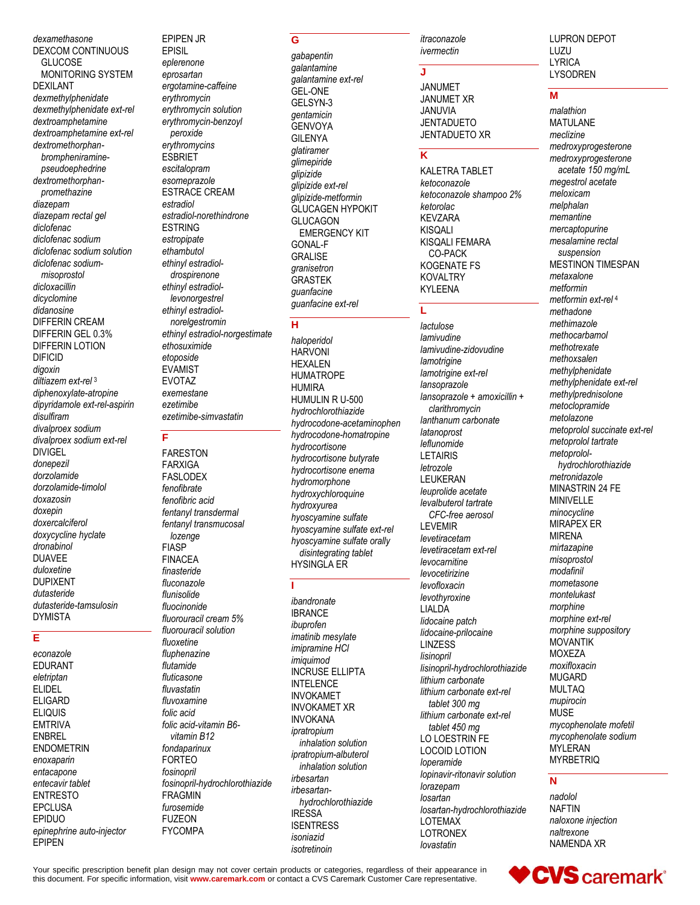dexamethasone DEXCOM CONTINUOUS **GLUCOSE** MONITORING SYSTEM **DEXILANT** dexmethylphenidate dexmethylphenidate ext-rel dextroamphetamine dextroamphetamine ext-rel dextromethorphanbrompheniraminepseudoephedrine dextromethorphanpromethazine diazepam diazepam rectal gel diclofenac diclofenac sodium diclofenac sodium solution diclofenac sodiummisoprostol dicloxacillin dicyclomine didanosine **DIFFERIN CREAM** DIFFERIN GEL 0.3% DIFFERIN LOTION **DIFICID** diaoxin diltiazem ext-rel<sup>3</sup> diphenoxylate-atropine dipyridamole ext-rel-aspirin disulfiram divalproex sodium divalproex sodium ext-rel **DIVIGEL** donepezil dorzolamide dorzolamide-timolol doxazosin doxepin doxercalciferol doxycycline hyclate dronabinol **DUAVEE** duloxetine **DUPIXENT** dutasteride dutasteride-tamsulosin **DYMISTA** 

#### E

econazole EDURANT eletriptan FI IDFI FI IGARD **ELIQUIS EMTRIVA ENBREL ENDOMETRIN** enoxaparin entacapone entecavir tablet **ENTRESTO EPCLUSA EPIDUO** epinephrine auto-injector **EPIPEN** 

**EPIPEN JR EPISIL** eplerenone eprosartan ergotamine-caffeine erythromycin erythromycin solution erythromycin-benzoyl peroxide erythromycins **ESBRIET** escitalopram esomeprazole **ESTRACE CREAM** estradiol estradiol-norethindrone **ESTRING** estropipate ethambutol ethinyl estradioldrospirenone ethinyl estradiollevonorgestrel ethinyl estradiolnorelgestromin ethinyl estradiol-norgestimate ethosuximide etoposide **FVAMIST FVOTAZ** exemestane ezetimibe ezetimibe-simvastatin

#### F

**FARESTON FARXIGA FASLODEX** fenofibrate fenofibric acid fentanyl transdermal fentanyl transmucosal lozenge **FIASP FINACFA** finasteride fluconazole flunisolide fluocinonide fluorouracil cream 5% fluorouracil solution fluoxetine fluphenazine flutamide fluticasone fluvastatin fluvoxamine folic acid folic acid-vitamin B6vitamin B12 fondaparinux **FORTEO** fosinopril fosinopril-hydrochlorothiazide **FRAGMIN** furosemide **FUZEON FYCOMPA** 

#### G

gabapentin galantamine galantamine ext-rel **GEL-ONE** GELSYN-3 gentamicin **GENVOYA GILENYA** glatiramer glimepiride glipizide glipizide ext-rel glipizide-metformin **GLUCAGEN HYPOKIT GLUCAGON EMERGENCY KIT GONAL-F GRALISE** granisetron **GRASTEK** quanfacine quanfacine ext-rel

#### н

haloperidol **HARVONI HEXALEN HUMATROPE HUMIRA** HUMULIN R U-500 hydrochlorothiazide hydrocodone-acetaminophen hydrocodone-homatropine hydrocortisone hydrocortisone butyrate hydrocortisone enema hydromorphone hydroxychloroquine hydroxyurea hyoscyamine sulfate hyoscyamine sulfate ext-rel hyoscyamine sulfate orally disintegrating tablet **HYSINGLA ER** 

### T

ibandronate **IBRANCE** ibuprofen imatinib mesylate imipramine HCI imiquimod **INCRUSE ELLIPTA INTELENCE INVOKAMET INVOKAMET XR INVOKANA** ipratropium inhalation solution ipratropium-albuterol inhalation solution irbesartan irbesartanhydrochlorothiazide **IRESSA ISENTRESS** isoniazid isotretinoin

itraconazole ivermectin

### J

**JANUMET JANUMET XR** JANUVIA **JENTADUETO JENTADUETO XR** 

#### K

KALETRA TABLET ketoconazole ketoconazole shampoo 2% ketorolac **KFV7ARA** KISOAI I **KISOALI FEMARA** CO-PACK **KOGENATE FS KOVALTRY KYLEENA** 

#### $\overline{\mathbf{I}}$

lactulose

lamivudine lamivudine-zidovudine lamotrigine lamotrigine ext-rel lansoprazole lansoprazole + amoxicillin + clarithromycin lanthanum carbonate latanoprost leflunomide **LETAIRIS** letrozole LEUKERAN leuprolide acetate levalbuterol tartrate CFC-free aerosol **LEVEMIR** levetiracetam levetiracetam ext-rel levocarnitine levocetirizine levofloxacin levothyroxine **LIALDA** lidocaine patch lidocaine-prilocaine **LINZESS** lisinopril lisinopril-hydrochlorothiazide lithium carbonate lithium carbonate ext-rel tablet 300 mg lithium carbonate ext-rel tablet 450 mg LO LOESTRIN FE **LOCOID LOTION** loperamide lopinavir-ritonavir solution lorazepam losartan losartan-hydrochlorothiazide **LOTEMAX LOTRONEX** lovastatin

LUPRON DEPOT LUZU **LYRICA LYSODREN** 

#### M

malathion **MATULANE** meclizine medroxyprogesterone medroxyprogesterone acetate 150 mg/mL megestrol acetate meloxicam melphalan memantine mercaptopurine mesalamine rectal suspension **MESTINON TIMESPAN** metaxalone metformin metformin ext-rel<sup>4</sup> methadone methimazole methocarbamol methotrexate methoxsalen methylphenidate methylphenidate ext-rel methylprednisolone metoclopramide metolazone metoprolol succinate ext-rel metoprolol tartrate metoprololhydrochlorothiazide metronidazole MINASTRIN 24 FE **MINIVELLE** minocycline **MIRAPEX ER MIRENA** mirtazapine misoprostol modafinil mometasone montelukast morphine morphine ext-rel morphine suppository **MOVANTIK MOXEZA** moxifloxacin **MUGARD MULTAQ** mupirocin **MUSE** mycophenolate mofetil mycophenolate sodium **MYLERAN MYRBETRIQ** 

#### N

nadolol **NAFTIN** naloxone injection naltrexone **NAMENDA XR** 

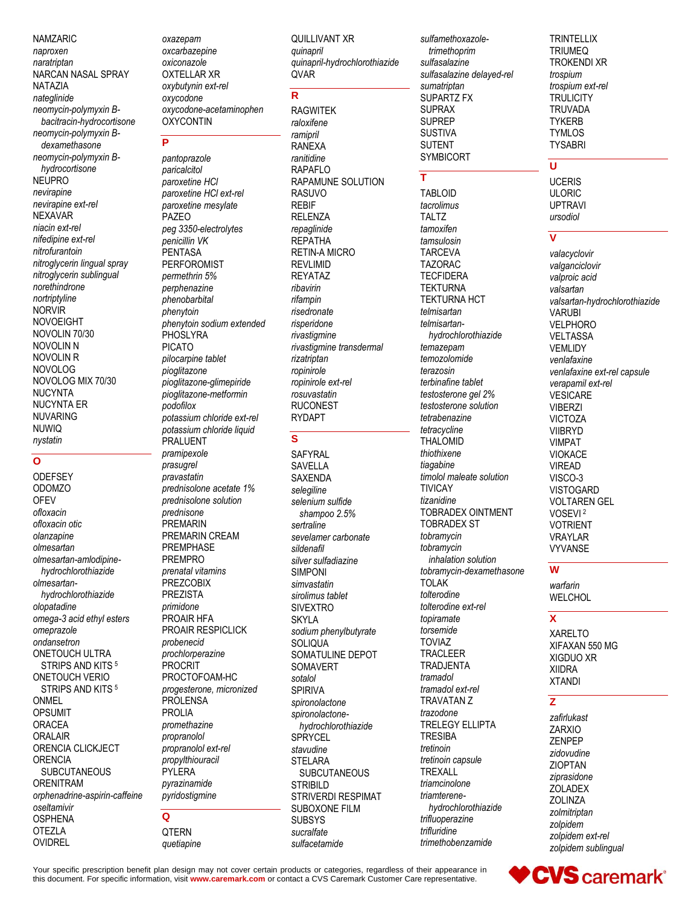**NAMZARIC** naproxen naratriptan NARCAN NASAL SPRAY NATAZIA nateglinide neomycin-polymyxin Bbacitracin-hydrocortisone neomycin-polymyxin Bdexamethasone neomycin-polymyxin Bhydrocortisone **NEUPRO** nevirapine nevirapine ext-rel **NEXAVAR** niacin ext-rel nifedipine ext-rel nitrofurantoin nitroglycerin lingual spray nitroglycerin sublingual norethindrone nortriptyline **NORVIR NOVOEIGHT** NOVOLIN 70/30 NOVOLIN N NOVOLIN R **NOVOLOG** NOVOLOG MIX 70/30 **NUCYNTA NUCYNTA ER NUVARING NUWIQ** nystatin

#### $\overline{\mathsf{o}}$

ODEFSEY **ODOMZO OFEV** ofloxacin ofloxacin otic olanzapine olmesartan olmesartan-amlodipinehydrochlorothiazide olmesartanhydrochlorothiazide olopatadine omega-3 acid ethyl esters omeprazole ondansetron **ONETOUCH ULTRA** STRIPS AND KITS<sup>5</sup> ONETOUCH VERIO STRIPS AND KITS<sup>5</sup> ONMFI **OPSUMIT ORACEA ORALAIR** ORENCIA CLICKJECT **ORENCIA SUBCUTANEOUS ORENITRAM** orphenadrine-aspirin-caffeine oseltamivir **OSPHENA OTEZLA OVIDREL** 

oxazepam oxcarbazepine oxiconazole **OXTELLAR XR** oxybutynin ext-rel oxycodone oxycodone-acetaminophen **OXYCONTIN** 

#### P

pantoprazole paricalcitol paroxetine HCI paroxetine HCI ext-rel paroxetine mesvlate PAZEO peg 3350-electrolytes penicillin VK **PENTASA PERFOROMIST** permethrin 5% perphenazine phenobarbital phenytoin phenytoin sodium extended PHOSLYRA **PICATO** pilocarpine tablet pioglitazone pioglitazone-glimepiride pioglitazone-metformin podofilox potassium chloride ext-rel potassium chloride liquid **PRALUENT** pramipexole prasugrel pravastatin prednisolone acetate 1% prednisolone solution prednisone **PREMARIN** PREMARIN CREAM **PREMPHASE PRFMPRO** prenatal vitamins PREZCOBIX **PREZISTA** primidone PROAIR HFA PROAIR RESPICLICK probenecid prochlorperazine PROCRIT PROCTOFOAM-HC progesterone, micronized PROI FNSA **PROLIA** promethazine propranolol propranolol ext-rel propylthiouracil **PYLERA** pyrazinamide pyridostigmine

#### $\overline{Q}$

**QTERN** quetiapine QUILLIVANT XR quinapril quinapril-hydrochlorothiazide QVAR

#### $\overline{\mathsf{R}}$

**RAGWITEK** raloxifene ramipril RANEXA ranitidine **RAPAFLO** RAPAMUNE SOLUTION **RASUVO REBIF RELENZA** repaglinide **REPATHA RETIN-A MICRO REVLIMID REYATAZ** ribavirin rifampin risedronate risperidone rivastigmine rivastigmine transdermal rizatriptan ropinirole ropinirole ext-rel rosuvastatin **RUCONEST RYDAPT** 

#### $\overline{\mathbf{s}}$

SAFYRAL **SAVELLA SAXENDA** selegiline selenium sulfide shampoo 2.5% sertraline sevelamer carbonate sildenafil silver sulfadiazine **SIMPONI** simvastatin sirolimus tablet **SIVEXTRO** SKYI A sodium phenylbutyrate SOLIQUA SOMATULINE DEPOT **SOMAVERT** sotalol **SPIRIVA** spironolactone spironolactonehydrochlorothiazide SPRYCEL stavudine **STELARA SUBCUTANEOUS STRIBILD STRIVERDI RESPIMAT SUBOXONE FILM SUBSYS** sucralfate sulfacetamide

sulfamethoxazoletrimethoprim sulfasalazine sulfasalazine delayed-rel sumatriptan **SUPARTZ FX SUPRAX SUPREP SUSTIVA SUTENT SYMBICORT** 

#### $\overline{\mathsf{r}}$

**TABLOID** tacrolimus **TALTZ** tamoxifen tamsulosin **TARCEVA TAZORAC TECFIDERA TEKTURNA TEKTURNA HCT** telmisartan telmisartanhydrochlorothiazide temazepam temozolomide terazosin terbinafine tablet testosterone gel 2% testosterone solution tetrabenazine tetracycline THALOMID thiothixene tiagabine timolol maleate solution **TIVICAY** tizanidine **TOBRADEX OINTMENT TOBRADEX ST** tobramycin tobramycin inhalation solution tobramycin-dexamethasone **TOLAK** tolterodine tolterodine ext-rel topiramate torsemide **TOVIAZ** TRACLEER **TRADJENTA** tramadol tramadol ext-rel TRAVATAN 7 trazodone **TRELEGY ELLIPTA TRESIBA** tretinoin tretinoin capsule TREXALL triamcinolone triamterenehydrochlorothiazide trifluoperazine trifluridine trimethobenzamide

**TRINTELLIX TRIUMEQ TROKENDI XR** trospium trospium ext-rel **TRULICITY TRUVADA TYKERB TYMLOS TYSABRI** 

#### $\overline{\mathtt{U}}$

**UCERIS ULORIC UPTRAVI** ursodiol

#### $\overline{\mathbf{u}}$

valacyclovir valganciclovir valproic acid valsartan valsartan-hydrochlorothiazide **VARUBI VELPHORO VELTASSA VEMLIDY** venlafaxine venlafaxine ext-rel capsule verapamil ext-rel **VESICARE VIBERZI VICTOZA VIIBRYD VIMPAT VIOKACE VIREAD** VISCO-3 **VISTOGARD VOLTAREN GEL** VOSEVI<sup>2</sup> **VOTRIENT VRAYLAR VYVANSE** 

#### $\overline{\mathbf{w}}$

warfarin **WELCHOL** 

#### $\mathbf{x}$

**XARELTO** XIFAXAN 550 MG XIGDUO XR **XIIDRA XTANDI** 

#### $\overline{z}$

zafirlukast ZARXIO ZENPEP zidovudine **ZIOPTAN** ziprasidone **ZOLADEX** ZOLINZA zolmitriptan zolpidem zolpidem ext-rel zolpidem sublingual

 $\blacktriangleright$  CVS caremark<sup>®</sup>

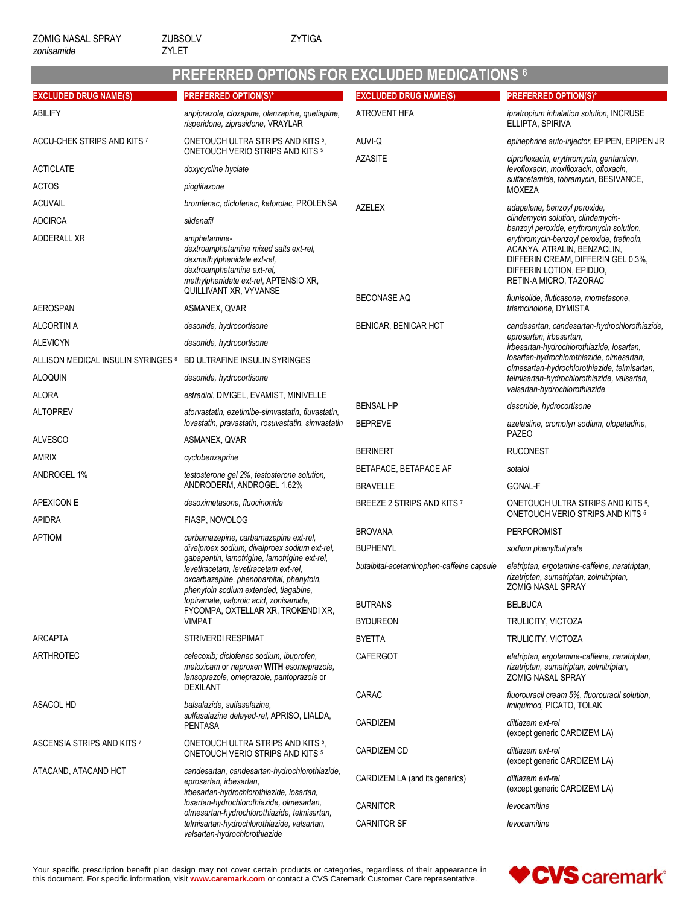ZUBSOLV ZYLET

**EXCLUDED DRUG NAME(S) PREFERRED OPTION(S)\***

ZYTIGA

**PREFERRED OPTIONS FOR EXCLUDED MEDICATIONS <sup>6</sup>**

**EXCLUDED DRUG NAME(S) PREFERRED OPTION(S)\***

| ABILIFY                            | aripiprazole, clozapine, olanzapine, quetiapine,<br>risperidone, ziprasidone, VRAYLAR                                                                                                                                                                                                                                                                 | <b>ATROVENT HFA</b>                                         | ipratropium inhalation solution, INCRUSE<br>ELLIPTA, SPIRIVA                                                                                                                                                     |  |
|------------------------------------|-------------------------------------------------------------------------------------------------------------------------------------------------------------------------------------------------------------------------------------------------------------------------------------------------------------------------------------------------------|-------------------------------------------------------------|------------------------------------------------------------------------------------------------------------------------------------------------------------------------------------------------------------------|--|
| ACCU-CHEK STRIPS AND KITS 7        | ONETOUCH ULTRA STRIPS AND KITS 5,<br>ONETOUCH VERIO STRIPS AND KITS 5                                                                                                                                                                                                                                                                                 | AUVI-Q                                                      | epinephrine auto-injector, EPIPEN, EPIPEN JR                                                                                                                                                                     |  |
| <b>ACTICLATE</b>                   | doxycycline hyclate                                                                                                                                                                                                                                                                                                                                   | <b>AZASITE</b>                                              | ciprofloxacin, erythromycin, gentamicin,<br>levofloxacin, moxifloxacin, ofloxacin,                                                                                                                               |  |
| <b>ACTOS</b>                       |                                                                                                                                                                                                                                                                                                                                                       |                                                             | sulfacetamide, tobramycin, BESIVANCE,                                                                                                                                                                            |  |
| <b>ACUVAIL</b>                     | pioglitazone                                                                                                                                                                                                                                                                                                                                          |                                                             | <b>MOXEZA</b><br>adapalene, benzoyl peroxide,                                                                                                                                                                    |  |
| <b>ADCIRCA</b>                     |                                                                                                                                                                                                                                                                                                                                                       | bromfenac, diclofenac, ketorolac, PROLENSA<br><b>AZELEX</b> |                                                                                                                                                                                                                  |  |
| <b>ADDERALL XR</b>                 | sildenafil<br>amphetamine-<br>dextroamphetamine mixed salts ext-rel,<br>dexmethylphenidate ext-rel,<br>dextroamphetamine ext-rel,<br>methylphenidate ext-rel, APTENSIO XR,<br>QUILLIVANT XR, VYVANSE                                                                                                                                                  |                                                             | benzoyl peroxide, erythromycin solution,<br>erythromycin-benzoyl peroxide, tretinoin,<br>ACANYA, ATRALIN, BENZACLIN,<br>DIFFERIN CREAM, DIFFERIN GEL 0.3%,<br>DIFFERIN LOTION, EPIDUO,<br>RETIN-A MICRO, TAZORAC |  |
| <b>AEROSPAN</b>                    | ASMANEX, QVAR                                                                                                                                                                                                                                                                                                                                         | <b>BECONASE AQ</b>                                          | flunisolide, fluticasone, mometasone,<br>triamcinolone, DYMISTA                                                                                                                                                  |  |
| <b>ALCORTIN A</b>                  | desonide, hydrocortisone                                                                                                                                                                                                                                                                                                                              | BENICAR, BENICAR HCT                                        | candesartan, candesartan-hydrochlorothiazide,                                                                                                                                                                    |  |
| <b>ALEVICYN</b>                    | desonide, hydrocortisone                                                                                                                                                                                                                                                                                                                              |                                                             | eprosartan, irbesartan,<br>irbesartan-hydrochlorothiazide, losartan,                                                                                                                                             |  |
| ALLISON MEDICAL INSULIN SYRINGES 8 | BD ULTRAFINE INSULIN SYRINGES                                                                                                                                                                                                                                                                                                                         |                                                             | losartan-hydrochlorothiazide, olmesartan,                                                                                                                                                                        |  |
| <b>ALOQUIN</b>                     | desonide, hydrocortisone                                                                                                                                                                                                                                                                                                                              |                                                             | olmesartan-hydrochlorothiazide, telmisartan,<br>telmisartan-hydrochlorothiazide, valsartan,                                                                                                                      |  |
| <b>ALORA</b>                       | estradiol, DIVIGEL, EVAMIST, MINIVELLE                                                                                                                                                                                                                                                                                                                |                                                             | valsartan-hydrochlorothiazide                                                                                                                                                                                    |  |
| <b>ALTOPREV</b>                    | atorvastatin, ezetimibe-simvastatin, fluvastatin,                                                                                                                                                                                                                                                                                                     | <b>BENSAL HP</b>                                            | desonide, hydrocortisone                                                                                                                                                                                         |  |
|                                    | lovastatin, pravastatin, rosuvastatin, simvastatin                                                                                                                                                                                                                                                                                                    | <b>BEPREVE</b>                                              | azelastine, cromolyn sodium, olopatadine,<br><b>PAZEO</b>                                                                                                                                                        |  |
| <b>ALVESCO</b>                     | ASMANEX, QVAR                                                                                                                                                                                                                                                                                                                                         | <b>BERINERT</b>                                             | <b>RUCONEST</b>                                                                                                                                                                                                  |  |
| <b>AMRIX</b>                       | cyclobenzaprine<br>testosterone gel 2%, testosterone solution,<br>ANDRODERM, ANDROGEL 1.62%                                                                                                                                                                                                                                                           | BETAPACE, BETAPACE AF                                       | sotalol                                                                                                                                                                                                          |  |
| ANDROGEL 1%                        |                                                                                                                                                                                                                                                                                                                                                       | <b>BRAVELLE</b>                                             | GONAL-F                                                                                                                                                                                                          |  |
| <b>APEXICON E</b>                  | desoximetasone, fluocinonide                                                                                                                                                                                                                                                                                                                          | BREEZE 2 STRIPS AND KITS 7                                  | ONETOUCH ULTRA STRIPS AND KITS 5,                                                                                                                                                                                |  |
| <b>APIDRA</b>                      | FIASP, NOVOLOG                                                                                                                                                                                                                                                                                                                                        |                                                             | ONETOUCH VERIO STRIPS AND KITS 5                                                                                                                                                                                 |  |
| <b>APTIOM</b>                      | carbamazepine, carbamazepine ext-rel,<br>divalproex sodium, divalproex sodium ext-rel,<br>gabapentin, lamotrigine, lamotrigine ext-rel,<br>levetiracetam, levetiracetam ext-rel,<br>oxcarbazepine, phenobarbital, phenytoin,<br>phenytoin sodium extended, tiagabine,<br>topiramate, valproic acid, zonisamide,<br>FYCOMPA, OXTELLAR XR, TROKENDI XR, | <b>BROVANA</b>                                              | <b>PERFOROMIST</b>                                                                                                                                                                                               |  |
|                                    |                                                                                                                                                                                                                                                                                                                                                       | <b>BUPHENYL</b>                                             | sodium phenylbutyrate                                                                                                                                                                                            |  |
|                                    |                                                                                                                                                                                                                                                                                                                                                       | butalbital-acetaminophen-caffeine capsule                   | eletriptan, ergotamine-caffeine, naratriptan,<br>rizatriptan, sumatriptan, zolmitriptan,<br>ZOMIG NASAL SPRAY                                                                                                    |  |
|                                    |                                                                                                                                                                                                                                                                                                                                                       | <b>BUTRANS</b>                                              | <b>BELBUCA</b>                                                                                                                                                                                                   |  |
|                                    | VIMPAT                                                                                                                                                                                                                                                                                                                                                | <b>BYDUREON</b>                                             | TRULICITY, VICTOZA                                                                                                                                                                                               |  |
| <b>ARCAPTA</b>                     | <b>STRIVERDI RESPIMAT</b>                                                                                                                                                                                                                                                                                                                             | <b>BYETTA</b>                                               | TRULICITY, VICTOZA                                                                                                                                                                                               |  |
| ARTHROTEC                          | celecoxib; diclofenac sodium, ibuprofen,<br>meloxicam or naproxen WITH esomeprazole,<br>lansoprazole, omeprazole, pantoprazole or                                                                                                                                                                                                                     | <b>CAFERGOT</b>                                             | eletriptan, ergotamine-caffeine, naratriptan,<br>rizatriptan, sumatriptan, zolmitriptan,<br><b>ZOMIG NASAL SPRAY</b>                                                                                             |  |
| ASACOL HD                          | <b>DEXILANT</b><br>balsalazide, sulfasalazine,                                                                                                                                                                                                                                                                                                        | CARAC                                                       | fluorouracil cream 5%, fluorouracil solution,<br>imiguimod, PICATO, TOLAK                                                                                                                                        |  |
|                                    | sulfasalazine delayed-rel, APRISO, LIALDA,<br><b>PENTASA</b>                                                                                                                                                                                                                                                                                          | CARDIZEM                                                    | diltiazem ext-rel<br>(except generic CARDIZEM LA)                                                                                                                                                                |  |
| ASCENSIA STRIPS AND KITS 7         | ONETOUCH ULTRA STRIPS AND KITS 5.<br>ONETOUCH VERIO STRIPS AND KITS 5                                                                                                                                                                                                                                                                                 | <b>CARDIZEM CD</b>                                          | diltiazem ext-rel<br>(except generic CARDIZEM LA)                                                                                                                                                                |  |
| ATACAND, ATACAND HCT               | candesartan, candesartan-hydrochlorothiazide,<br>eprosartan, irbesartan,<br>irbesartan-hydrochlorothiazide, losartan,                                                                                                                                                                                                                                 | CARDIZEM LA (and its generics)                              | diltiazem ext-rel<br>(except generic CARDIZEM LA)                                                                                                                                                                |  |
|                                    | losartan-hydrochlorothiazide, olmesartan,<br>olmesartan-hydrochlorothiazide, telmisartan,                                                                                                                                                                                                                                                             | <b>CARNITOR</b>                                             | levocarnitine                                                                                                                                                                                                    |  |
|                                    | telmisartan-hydrochlorothiazide, valsartan,                                                                                                                                                                                                                                                                                                           | <b>CARNITOR SF</b>                                          | levocarnitine                                                                                                                                                                                                    |  |

Your specific prescription benefit plan design may not cover certain products or categories, regardless of their appearance in<br>this document. For specific information, visit **www.caremark.com** or contact a CVS Caremark Cus

*valsartan-hydrochlorothiazide*

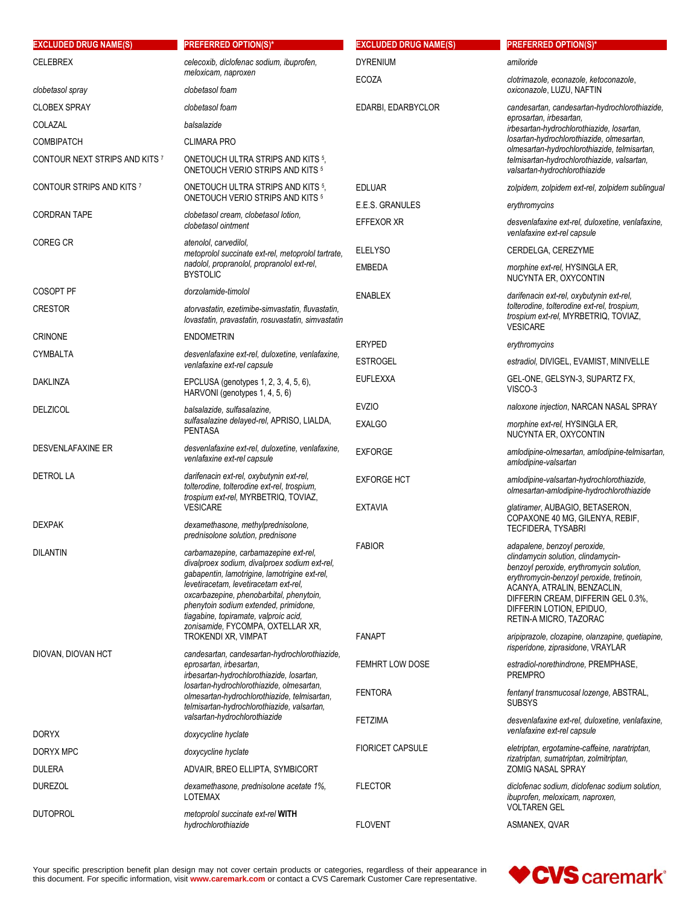| <b>EXCLUDED DRUG NAME(S)</b>   | <b>PREFERRED OPTION(S)*</b>                                                                                                                                                                                                                                                                                                                         | <b>EXCLUDED DRUG NAME(S)</b> | <b>PREFERRED OPTION(S)*</b>                                                                                                                                                                                                                                                            |  |
|--------------------------------|-----------------------------------------------------------------------------------------------------------------------------------------------------------------------------------------------------------------------------------------------------------------------------------------------------------------------------------------------------|------------------------------|----------------------------------------------------------------------------------------------------------------------------------------------------------------------------------------------------------------------------------------------------------------------------------------|--|
| <b>CELEBREX</b>                | celecoxib, diclofenac sodium, ibuprofen,                                                                                                                                                                                                                                                                                                            | <b>DYRENIUM</b>              | amiloride                                                                                                                                                                                                                                                                              |  |
| clobetasol spray               | meloxicam, naproxen<br>clobetasol foam                                                                                                                                                                                                                                                                                                              | <b>ECOZA</b>                 | clotrimazole, econazole, ketoconazole,<br>oxiconazole, LUZU, NAFTIN                                                                                                                                                                                                                    |  |
| <b>CLOBEX SPRAY</b>            | clobetasol foam                                                                                                                                                                                                                                                                                                                                     | EDARBI, EDARBYCLOR           | candesartan, candesartan-hydrochlorothiazide,                                                                                                                                                                                                                                          |  |
| COLAZAL                        | balsalazide                                                                                                                                                                                                                                                                                                                                         |                              | eprosartan, irbesartan,<br>irbesartan-hydrochlorothiazide, losartan,                                                                                                                                                                                                                   |  |
| <b>COMBIPATCH</b>              | <b>CLIMARA PRO</b>                                                                                                                                                                                                                                                                                                                                  |                              | losartan-hydrochlorothiazide, olmesartan,                                                                                                                                                                                                                                              |  |
| CONTOUR NEXT STRIPS AND KITS 7 | ONETOUCH ULTRA STRIPS AND KITS 5,<br>ONETOUCH VERIO STRIPS AND KITS 5                                                                                                                                                                                                                                                                               |                              | olmesartan-hydrochlorothiazide, telmisartan,<br>telmisartan-hydrochlorothiazide, valsartan,<br>valsartan-hydrochlorothiazide                                                                                                                                                           |  |
| CONTOUR STRIPS AND KITS 7      | ONETOUCH ULTRA STRIPS AND KITS 5.<br>ONETOUCH VERIO STRIPS AND KITS 5                                                                                                                                                                                                                                                                               | <b>EDLUAR</b>                | zolpidem, zolpidem ext-rel, zolpidem sublingual                                                                                                                                                                                                                                        |  |
| CORDRAN TAPE                   |                                                                                                                                                                                                                                                                                                                                                     | E.E.S. GRANULES              | erythromycins                                                                                                                                                                                                                                                                          |  |
|                                | clobetasol cream, clobetasol lotion,<br>clobetasol ointment                                                                                                                                                                                                                                                                                         | EFFEXOR XR                   | desvenlafaxine ext-rel, duloxetine, venlafaxine,<br>venlafaxine ext-rel capsule                                                                                                                                                                                                        |  |
| <b>COREG CR</b>                | atenolol, carvedilol,<br>metoprolol succinate ext-rel, metoprolol tartrate,                                                                                                                                                                                                                                                                         | <b>ELELYSO</b>               | CERDELGA, CEREZYME                                                                                                                                                                                                                                                                     |  |
|                                | nadolol, propranolol, propranolol ext-rel,<br><b>BYSTOLIC</b>                                                                                                                                                                                                                                                                                       | <b>EMBEDA</b>                | morphine ext-rel, HYSINGLA ER,<br>NUCYNTA ER, OXYCONTIN                                                                                                                                                                                                                                |  |
| <b>COSOPT PF</b>               | dorzolamide-timolol                                                                                                                                                                                                                                                                                                                                 | <b>ENABLEX</b>               | darifenacin ext-rel, oxybutynin ext-rel,                                                                                                                                                                                                                                               |  |
| <b>CRESTOR</b>                 | atorvastatin, ezetimibe-simvastatin, fluvastatin,<br>lovastatin, pravastatin, rosuvastatin, simvastatin                                                                                                                                                                                                                                             |                              | tolterodine, tolterodine ext-rel, trospium,<br>trospium ext-rel, MYRBETRIQ, TOVIAZ,<br><b>VESICARE</b>                                                                                                                                                                                 |  |
| <b>CRINONE</b>                 | <b>ENDOMETRIN</b>                                                                                                                                                                                                                                                                                                                                   | <b>ERYPED</b>                | erythromycins                                                                                                                                                                                                                                                                          |  |
| CYMBALTA                       | desvenlafaxine ext-rel, duloxetine, venlafaxine,<br>venlafaxine ext-rel capsule                                                                                                                                                                                                                                                                     | <b>ESTROGEL</b>              | estradiol, DIVIGEL, EVAMIST, MINIVELLE                                                                                                                                                                                                                                                 |  |
| DAKLINZA                       | EPCLUSA (genotypes 1, 2, 3, 4, 5, 6),<br>HARVONI (genotypes 1, 4, 5, 6)                                                                                                                                                                                                                                                                             | <b>EUFLEXXA</b>              | GEL-ONE, GELSYN-3, SUPARTZ FX,<br>VISCO-3                                                                                                                                                                                                                                              |  |
| <b>DELZICOL</b>                | balsalazide, sulfasalazine,                                                                                                                                                                                                                                                                                                                         | <b>EVZIO</b>                 | naloxone injection, NARCAN NASAL SPRAY                                                                                                                                                                                                                                                 |  |
|                                | sulfasalazine delayed-rel, APRISO, LIALDA,<br><b>PENTASA</b>                                                                                                                                                                                                                                                                                        | <b>EXALGO</b>                | morphine ext-rel, HYSINGLA ER,<br>NUCYNTA ER, OXYCONTIN                                                                                                                                                                                                                                |  |
| DESVENLAFAXINE ER              | desvenlafaxine ext-rel, duloxetine, venlafaxine,<br>venlafaxine ext-rel capsule                                                                                                                                                                                                                                                                     | <b>EXFORGE</b>               | amlodipine-olmesartan, amlodipine-telmisartan,<br>amlodipine-valsartan                                                                                                                                                                                                                 |  |
| <b>DETROL LA</b>               | darifenacin ext-rel, oxybutynin ext-rel,<br>tolterodine, tolterodine ext-rel, trospium,<br>trospium ext-rel, MYRBETRIQ, TOVIAZ,                                                                                                                                                                                                                     | <b>EXFORGE HCT</b>           | amlodipine-valsartan-hydrochlorothiazide,<br>olmesartan-amlodipine-hydrochlorothiazide                                                                                                                                                                                                 |  |
|                                | <b>VESICARE</b>                                                                                                                                                                                                                                                                                                                                     | <b>EXTAVIA</b>               | glatiramer, AUBAGIO, BETASERON,                                                                                                                                                                                                                                                        |  |
| <b>DEXPAK</b>                  | dexamethasone, methylprednisolone,<br>prednisolone solution, prednisone                                                                                                                                                                                                                                                                             |                              | COPAXONE 40 MG, GILENYA, REBIF,<br>TECFIDERA, TYSABRI                                                                                                                                                                                                                                  |  |
| DILANTIN                       | carbamazepine, carbamazepine ext-rel,<br>divalproex sodium, divalproex sodium ext-rel,<br>gabapentin, lamotrigine, lamotrigine ext-rel,<br>levetiracetam, levetiracetam ext-rel,<br>oxcarbazepine, phenobarbital, phenytoin,<br>phenytoin sodium extended, primidone,<br>tiagabine, topiramate, valproic acid,<br>zonisamide, FYCOMPA, OXTELLAR XR, | <b>FABIOR</b>                | adapalene, benzoyl peroxide,<br>clindamycin solution, clindamycin-<br>benzoyl peroxide, erythromycin solution,<br>erythromycin-benzoyl peroxide, tretinoin,<br>ACANYA, ATRALIN, BENZACLIN,<br>DIFFERIN CREAM, DIFFERIN GEL 0.3%,<br>DIFFERIN LOTION, EPIDUO,<br>RETIN-A MICRO, TAZORAC |  |
| DIOVAN, DIOVAN HCT             | <b>TROKENDI XR, VIMPAT</b><br>candesartan, candesartan-hydrochlorothiazide,                                                                                                                                                                                                                                                                         | <b>FANAPT</b>                | aripiprazole, clozapine, olanzapine, quetiapine,<br>risperidone, ziprasidone, VRAYLAR                                                                                                                                                                                                  |  |
|                                | eprosartan, irbesartan,<br>irbesartan-hydrochlorothiazide, losartan,<br>losartan-hydrochlorothiazide, olmesartan,<br>olmesartan-hydrochlorothiazide, telmisartan,<br>telmisartan-hydrochlorothiazide, valsartan,                                                                                                                                    | <b>FEMHRT LOW DOSE</b>       | estradiol-norethindrone, PREMPHASE,<br><b>PREMPRO</b>                                                                                                                                                                                                                                  |  |
|                                |                                                                                                                                                                                                                                                                                                                                                     | <b>FENTORA</b>               | fentanyl transmucosal lozenge, ABSTRAL,<br><b>SUBSYS</b>                                                                                                                                                                                                                               |  |
| <b>DORYX</b>                   | valsartan-hydrochlorothiazide<br>doxycycline hyclate                                                                                                                                                                                                                                                                                                | <b>FETZIMA</b>               | desvenlafaxine ext-rel, duloxetine, venlafaxine,<br>venlafaxine ext-rel capsule                                                                                                                                                                                                        |  |
| DORYX MPC                      | doxycycline hyclate                                                                                                                                                                                                                                                                                                                                 | <b>FIORICET CAPSULE</b>      | eletriptan, ergotamine-caffeine, naratriptan,                                                                                                                                                                                                                                          |  |
| <b>DULERA</b>                  | ADVAIR, BREO ELLIPTA, SYMBICORT                                                                                                                                                                                                                                                                                                                     |                              | rizatriptan, sumatriptan, zolmitriptan,<br>ZOMIG NASAL SPRAY                                                                                                                                                                                                                           |  |
| <b>DUREZOL</b>                 | dexamethasone, prednisolone acetate 1%,<br><b>LOTEMAX</b>                                                                                                                                                                                                                                                                                           | <b>FLECTOR</b>               | diclofenac sodium, diclofenac sodium solution,<br>ibuprofen, meloxicam, naproxen,                                                                                                                                                                                                      |  |
| <b>DUTOPROL</b>                | metoprolol succinate ext-rel WITH<br>hydrochlorothiazide                                                                                                                                                                                                                                                                                            | <b>FLOVENT</b>               | <b>VOLTAREN GEL</b><br>ASMANEX, QVAR                                                                                                                                                                                                                                                   |  |

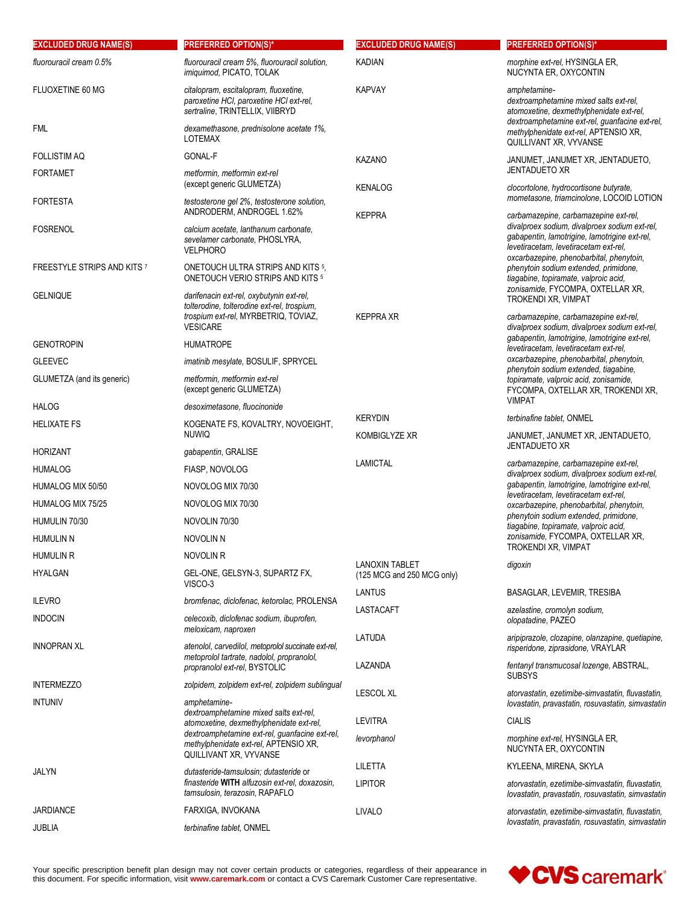| <b>EXCLUDED DRUG NAME(S)</b>       | <b>PREFERRED OPTION(S)*</b>                                                                                                                        | <b>EXCLUDED DRUG NAME(S)</b> | <b>PREFERRED OPTION(S)*</b>                                                                                                                                                         |  |
|------------------------------------|----------------------------------------------------------------------------------------------------------------------------------------------------|------------------------------|-------------------------------------------------------------------------------------------------------------------------------------------------------------------------------------|--|
| fluorouracil cream 0.5%            | fluorouracil cream 5%, fluorouracil solution,<br>imiguimod, PICATO, TOLAK                                                                          | KADIAN                       | morphine ext-rel, HYSINGLA ER,<br>NUCYNTA ER, OXYCONTIN                                                                                                                             |  |
| FLUOXETINE 60 MG                   | citalopram, escitalopram, fluoxetine,<br>paroxetine HCI, paroxetine HCI ext-rel,<br>sertraline, TRINTELLIX, VIIBRYD                                | <b>KAPVAY</b>                | amphetamine-<br>dextroamphetamine mixed salts ext-rel,<br>atomoxetine, dexmethylphenidate ext-rel,                                                                                  |  |
| <b>FML</b>                         | dexamethasone, prednisolone acetate 1%,<br><b>LOTEMAX</b>                                                                                          |                              | dextroamphetamine ext-rel, guanfacine ext-rel,<br>methylphenidate ext-rel, APTENSIO XR,<br>QUILLIVANT XR, VYVANSE                                                                   |  |
| <b>FOLLISTIM AQ</b>                | GONAL-F                                                                                                                                            | KAZANO                       | JANUMET, JANUMET XR, JENTADUETO,                                                                                                                                                    |  |
| <b>FORTAMET</b>                    | metformin, metformin ext-rel<br>(except generic GLUMETZA)                                                                                          | <b>KENALOG</b>               | <b>JENTADUETO XR</b><br>clocortolone, hydrocortisone butyrate,                                                                                                                      |  |
| <b>FORTESTA</b>                    | testosterone gel 2%, testosterone solution,<br>ANDRODERM, ANDROGEL 1.62%                                                                           | <b>KEPPRA</b>                | mometasone, triamcinolone, LOCOID LOTION<br>carbamazepine, carbamazepine ext-rel,                                                                                                   |  |
| <b>FOSRENOL</b>                    | calcium acetate, lanthanum carbonate,<br>sevelamer carbonate, PHOSLYRA,<br><b>VELPHORO</b>                                                         |                              | divalproex sodium, divalproex sodium ext-rel,<br>gabapentin, lamotrigine, lamotrigine ext-rel,<br>levetiracetam, levetiracetam ext-rel,<br>oxcarbazepine, phenobarbital, phenytoin, |  |
| <b>FREESTYLE STRIPS AND KITS 7</b> | ONETOUCH ULTRA STRIPS AND KITS 5,<br>ONETOUCH VERIO STRIPS AND KITS 5                                                                              |                              | phenytoin sodium extended, primidone,<br>tiagabine, topiramate, valproic acid,                                                                                                      |  |
| <b>GELNIQUE</b>                    | darifenacin ext-rel, oxybutynin ext-rel,<br>tolterodine, tolterodine ext-rel, trospium,<br>trospium ext-rel, MYRBETRIQ, TOVIAZ,<br><b>VESICARE</b> | KEPPRA XR                    | zonisamide, FYCOMPA, OXTELLAR XR,<br>TROKENDI XR, VIMPAT<br>carbamazepine, carbamazepine ext-rel,<br>divalproex sodium, divalproex sodium ext-rel,                                  |  |
| <b>GENOTROPIN</b>                  | <b>HUMATROPE</b>                                                                                                                                   |                              | gabapentin, lamotrigine, lamotrigine ext-rel,<br>levetiracetam, levetiracetam ext-rel,                                                                                              |  |
| <b>GLEEVEC</b>                     | <i>imatinib mesylate, BOSULIF, SPRYCEL</i>                                                                                                         |                              | oxcarbazepine, phenobarbital, phenytoin,                                                                                                                                            |  |
| GLUMETZA (and its generic)         | metformin, metformin ext-rel<br>(except generic GLUMETZA)                                                                                          |                              | phenytoin sodium extended, tiagabine,<br>topiramate, valproic acid, zonisamide,<br>FYCOMPA, OXTELLAR XR, TROKENDI XR,                                                               |  |
| HALOG                              | desoximetasone, fluocinonide                                                                                                                       |                              | <b>VIMPAT</b>                                                                                                                                                                       |  |
| HELIXATE FS                        | KOGENATE FS, KOVALTRY, NOVOEIGHT,                                                                                                                  | <b>KERYDIN</b>               | terbinafine tablet, ONMEL                                                                                                                                                           |  |
|                                    | <b>NUWIQ</b>                                                                                                                                       | KOMBIGLYZE XR                | JANUMET, JANUMET XR, JENTADUETO,<br><b>JENTADUETO XR</b>                                                                                                                            |  |
| HORIZANT                           | gabapentin, GRALISE                                                                                                                                | <b>LAMICTAL</b>              | carbamazepine, carbamazepine ext-rel,                                                                                                                                               |  |
| <b>HUMALOG</b>                     | FIASP, NOVOLOG                                                                                                                                     |                              | divalproex sodium, divalproex sodium ext-rel,                                                                                                                                       |  |
| HUMALOG MIX 50/50                  | NOVOLOG MIX 70/30                                                                                                                                  |                              | gabapentin, lamotrigine, lamotrigine ext-rel,<br>levetiracetam, levetiracetam ext-rel,                                                                                              |  |
| HUMALOG MIX 75/25                  | NOVOLOG MIX 70/30                                                                                                                                  |                              | oxcarbazepine, phenobarbital, phenytoin,<br>phenytoin sodium extended, primidone,                                                                                                   |  |
| HUMULIN 70/30                      | NOVOLIN 70/30                                                                                                                                      |                              | tiagabine, topiramate, valproic acid,                                                                                                                                               |  |
| humulin n                          | NOVOLIN N                                                                                                                                          |                              | zonisamide, FYCOMPA, OXTELLAR XR,<br>TROKENDI XR, VIMPAT                                                                                                                            |  |
| <b>HUMULIN R</b>                   | NOVOLIN R                                                                                                                                          | LANOXIN TABLET               | digoxin                                                                                                                                                                             |  |
| <b>HYALGAN</b>                     | GEL-ONE, GELSYN-3, SUPARTZ FX,<br>VISCO-3                                                                                                          | (125 MCG and 250 MCG only)   |                                                                                                                                                                                     |  |
| <b>ILEVRO</b>                      | bromfenac, diclofenac, ketorolac, PROLENSA                                                                                                         | LANTUS                       | BASAGLAR, LEVEMIR, TRESIBA                                                                                                                                                          |  |
| <b>INDOCIN</b>                     | celecoxib, diclofenac sodium, ibuprofen,<br>meloxicam, naproxen                                                                                    | LASTACAFT                    | azelastine, cromolyn sodium,<br>olopatadine, PAZEO                                                                                                                                  |  |
| <b>INNOPRAN XL</b>                 | atenolol, carvedilol, metoprolol succinate ext-rel,<br>metoprolol tartrate, nadolol, propranolol,                                                  | LATUDA                       | aripiprazole, clozapine, olanzapine, quetiapine,<br>risperidone, ziprasidone, VRAYLAR                                                                                               |  |
|                                    | propranolol ext-rel, BYSTOLIC                                                                                                                      | LAZANDA                      | fentanyl transmucosal lozenge, ABSTRAL,<br><b>SUBSYS</b>                                                                                                                            |  |
| <b>INTERMEZZO</b>                  | zolpidem, zolpidem ext-rel, zolpidem sublingual                                                                                                    | <b>LESCOL XL</b>             | atorvastatin, ezetimibe-simvastatin, fluvastatin,                                                                                                                                   |  |
| <b>INTUNIV</b>                     | amphetamine-<br>dextroamphetamine mixed salts ext-rel,                                                                                             |                              | lovastatin, pravastatin, rosuvastatin, simvastatin                                                                                                                                  |  |
|                                    | atomoxetine, dexmethylphenidate ext-rel,                                                                                                           | <b>LEVITRA</b>               | <b>CIALIS</b>                                                                                                                                                                       |  |
|                                    | dextroamphetamine ext-rel, guanfacine ext-rel,<br>methylphenidate ext-rel, APTENSIO XR,<br>QUILLIVANT XR, VYVANSE                                  | levorphanol                  | morphine ext-rel, HYSINGLA ER,<br>NUCYNTA ER, OXYCONTIN                                                                                                                             |  |
| <b>JALYN</b>                       | dutasteride-tamsulosin; dutasteride or                                                                                                             | LILETTA                      | KYLEENA, MIRENA, SKYLA                                                                                                                                                              |  |
|                                    | finasteride WITH alfuzosin ext-rel, doxazosin,<br>tamsulosin, terazosin, RAPAFLO                                                                   | <b>LIPITOR</b>               | atorvastatin, ezetimibe-simvastatin, fluvastatin,<br>lovastatin, pravastatin, rosuvastatin, simvastatin                                                                             |  |
| JARDIANCE                          | FARXIGA, INVOKANA                                                                                                                                  | LIVALO                       | atorvastatin, ezetimibe-simvastatin, fluvastatin,                                                                                                                                   |  |
| <b>JUBLIA</b>                      | terbinafine tablet, ONMEL                                                                                                                          |                              | lovastatin, pravastatin, rosuvastatin, simvastatin                                                                                                                                  |  |

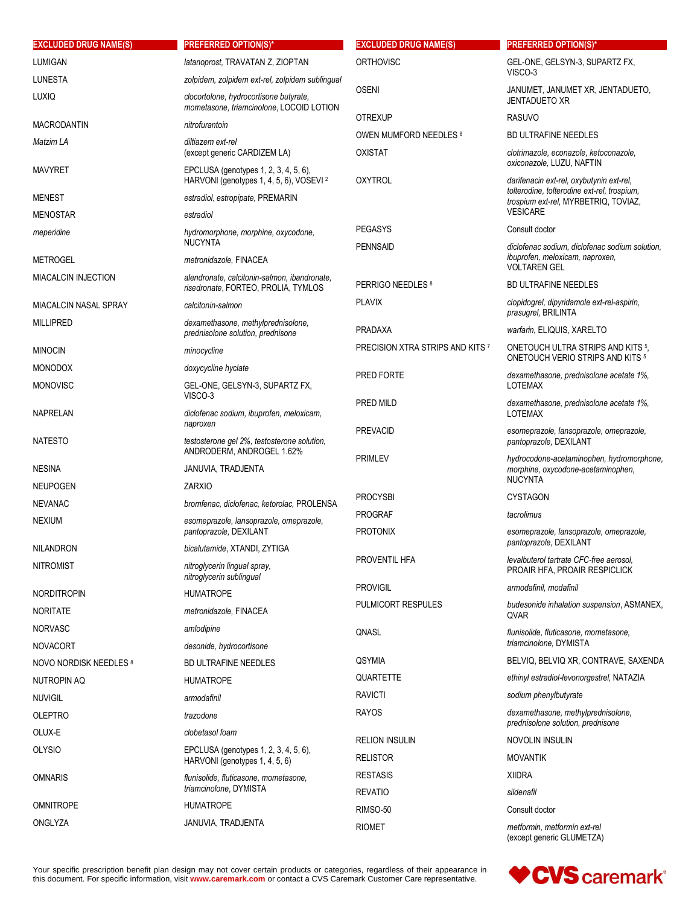| <b>EXCLUDED DRUG NAME(S)</b>      | <b>PREFERRED OPTION(S)*</b>                                                                  | <b>EXCLUDED DRUG NAME(S)</b>      | <b>PREFERRED OPTION(S)*</b>                                                             |  |
|-----------------------------------|----------------------------------------------------------------------------------------------|-----------------------------------|-----------------------------------------------------------------------------------------|--|
| LUMIGAN                           | latanoprost, TRAVATAN Z, ZIOPTAN                                                             | <b>ORTHOVISC</b>                  | GEL-ONE, GELSYN-3, SUPARTZ FX,                                                          |  |
| <b>LUNESTA</b>                    | zolpidem, zolpidem ext-rel, zolpidem sublingual                                              |                                   | VISCO-3                                                                                 |  |
| LUXIQ                             | clocortolone, hydrocortisone butyrate,<br>mometasone, triamcinolone, LOCOID LOTION           | <b>OSENI</b>                      | JANUMET, JANUMET XR, JENTADUETO,<br><b>JENTADUETO XR</b>                                |  |
| <b>MACRODANTIN</b>                | nitrofurantoin                                                                               | <b>OTREXUP</b>                    | <b>RASUVO</b>                                                                           |  |
| Matzim LA                         | diltiazem ext-rel                                                                            | OWEN MUMFORD NEEDLES 8            | <b>BD ULTRAFINE NEEDLES</b>                                                             |  |
|                                   | (except generic CARDIZEM LA)                                                                 | <b>OXISTAT</b>                    | clotrimazole, econazole, ketoconazole,<br>oxiconazole, LUZU, NAFTIN                     |  |
| <b>MAVYRET</b>                    | EPCLUSA (genotypes 1, 2, 3, 4, 5, 6),<br>HARVONI (genotypes 1, 4, 5, 6), VOSEVI <sup>2</sup> | <b>OXYTROL</b>                    | darifenacin ext-rel, oxybutynin ext-rel,<br>tolterodine, tolterodine ext-rel, trospium, |  |
| <b>MENEST</b>                     | estradiol, estropipate, PREMARIN                                                             |                                   | trospium ext-rel, MYRBETRIQ, TOVIAZ,                                                    |  |
| <b>MENOSTAR</b>                   | estradiol                                                                                    |                                   | <b>VESICARE</b>                                                                         |  |
| meperidine                        | hydromorphone, morphine, oxycodone,<br><b>NUCYNTA</b>                                        | <b>PEGASYS</b><br><b>PENNSAID</b> | Consult doctor<br>diclofenac sodium, diclofenac sodium solution,                        |  |
| <b>METROGEL</b>                   | metronidazole, FINACEA                                                                       |                                   | ibuprofen, meloxicam, naproxen,<br><b>VOLTAREN GEL</b>                                  |  |
| MIACALCIN INJECTION               | alendronate, calcitonin-salmon, ibandronate,<br>risedronate, FORTEO, PROLIA, TYMLOS          | PERRIGO NEEDLES <sup>8</sup>      | <b>BD ULTRAFINE NEEDLES</b>                                                             |  |
| MIACALCIN NASAL SPRAY             | calcitonin-salmon                                                                            | <b>PLAVIX</b>                     | clopidogrel, dipyridamole ext-rel-aspirin,<br>prasugrel, BRILINTA                       |  |
| <b>MILLIPRED</b>                  | dexamethasone, methylprednisolone,<br>prednisolone solution, prednisone                      | PRADAXA                           | warfarin, ELIQUIS, XARELTO                                                              |  |
| <b>MINOCIN</b>                    | minocycline                                                                                  | PRECISION XTRA STRIPS AND KITS 7  | <b>ONETOUCH ULTRA STRIPS AND KITS 5.</b><br>ONETOUCH VERIO STRIPS AND KITS 5            |  |
| <b>MONODOX</b>                    | doxycycline hyclate                                                                          | PRED FORTE                        | dexamethasone, prednisolone acetate 1%,                                                 |  |
| <b>MONOVISC</b>                   | GEL-ONE, GELSYN-3, SUPARTZ FX,<br>VISCO-3                                                    | PRED MILD                         | <b>LOTEMAX</b><br>dexamethasone, prednisolone acetate 1%,                               |  |
| <b>NAPRELAN</b>                   | diclofenac sodium, ibuprofen, meloxicam,<br>naproxen                                         |                                   | <b>LOTEMAX</b>                                                                          |  |
| <b>NATESTO</b>                    | testosterone gel 2%, testosterone solution,                                                  | <b>PREVACID</b>                   | esomeprazole, lansoprazole, omeprazole,<br>pantoprazole, DEXILANT                       |  |
|                                   | ANDRODERM, ANDROGEL 1.62%                                                                    | <b>PRIMLEV</b>                    | hydrocodone-acetaminophen, hydromorphone,                                               |  |
| <b>NESINA</b>                     | JANUVIA, TRADJENTA                                                                           |                                   | morphine, oxycodone-acetaminophen,<br><b>NUCYNTA</b>                                    |  |
| <b>NEUPOGEN</b>                   | <b>ZARXIO</b>                                                                                | <b>PROCYSBI</b>                   | <b>CYSTAGON</b>                                                                         |  |
| <b>NEVANAC</b>                    | bromfenac, diclofenac, ketorolac, PROLENSA                                                   | <b>PROGRAF</b>                    | tacrolimus                                                                              |  |
| <b>NEXIUM</b>                     | esomeprazole, lansoprazole, omeprazole,<br>pantoprazole, DEXILANT                            | <b>PROTONIX</b>                   | esomeprazole, lansoprazole, omeprazole,                                                 |  |
| NILANDRON                         | bicalutamide, XTANDI, ZYTIGA                                                                 |                                   | pantoprazole, DEXILANT                                                                  |  |
| <b>NITROMIST</b>                  | nitroglycerin lingual spray.<br>nitroglycerin sublingual                                     | PROVENTIL HFA                     | levalbuterol tartrate CFC-free aerosol,<br>PROAIR HFA, PROAIR RESPICLICK                |  |
| <b>NORDITROPIN</b>                | <b>HUMATROPE</b>                                                                             | <b>PROVIGIL</b>                   | armodafinil, modafinil                                                                  |  |
| <b>NORITATE</b>                   | metronidazole, FINACEA                                                                       | <b>PULMICORT RESPULES</b>         | budesonide inhalation suspension, ASMANEX,<br>QVAR                                      |  |
| <b>NORVASC</b>                    | amlodipine                                                                                   | QNASL                             | flunisolide, fluticasone, mometasone,                                                   |  |
| <b>NOVACORT</b>                   | desonide, hydrocortisone                                                                     |                                   | triamcinolone, DYMISTA                                                                  |  |
| NOVO NORDISK NEEDLES <sup>8</sup> | <b>BD ULTRAFINE NEEDLES</b>                                                                  | QSYMIA                            | BELVIQ, BELVIQ XR, CONTRAVE, SAXENDA                                                    |  |
| NUTROPIN AQ                       | <b>HUMATROPE</b>                                                                             | QUARTETTE                         | ethinyl estradiol-levonorgestrel, NATAZIA                                               |  |
| <b>NUVIGIL</b>                    | armodafinil                                                                                  | RAVICTI                           | sodium phenylbutyrate                                                                   |  |
| <b>OLEPTRO</b>                    | trazodone                                                                                    | <b>RAYOS</b>                      | dexamethasone, methylprednisolone,<br>prednisolone solution, prednisone                 |  |
| OLUX-E                            | clobetasol foam                                                                              | <b>RELION INSULIN</b>             | NOVOLIN INSULIN                                                                         |  |
| <b>OLYSIO</b>                     | EPCLUSA (genotypes 1, 2, 3, 4, 5, 6),                                                        | <b>RELISTOR</b>                   | <b>MOVANTIK</b>                                                                         |  |
|                                   | HARVONI (genotypes 1, 4, 5, 6)                                                               | <b>RESTASIS</b>                   | <b>XIIDRA</b>                                                                           |  |
| <b>OMNARIS</b>                    | flunisolide, fluticasone, mometasone,<br>triamcinolone, DYMISTA                              | <b>REVATIO</b>                    | sildenafil                                                                              |  |
| <b>OMNITROPE</b>                  | <b>HUMATROPE</b>                                                                             | <b>RIMSO-50</b>                   | Consult doctor                                                                          |  |
| ONGLYZA                           | JANUVIA, TRADJENTA                                                                           |                                   |                                                                                         |  |
|                                   |                                                                                              | <b>RIOMET</b>                     | metformin, metformin ext-rel<br>(except generic GLUMETZA)                               |  |

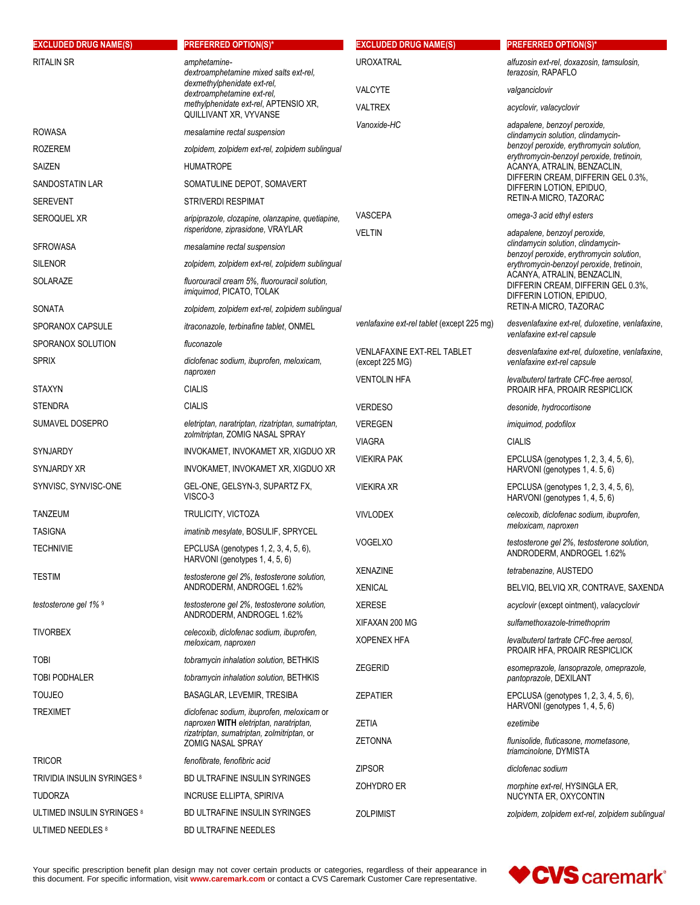| <b>EXCLUDED DRUG NAME(S)</b>           | <b>PREFERRED OPTION(S)*</b>                                                           | <b>EXCLUDED DRUG NAME(S)</b>               | <b>PREFERRED OPTION(S)*</b>                                                                                                                 |
|----------------------------------------|---------------------------------------------------------------------------------------|--------------------------------------------|---------------------------------------------------------------------------------------------------------------------------------------------|
| <b>RITALIN SR</b>                      | amphetamine-<br>dextroamphetamine mixed salts ext-rel,                                | <b>UROXATRAL</b>                           | alfuzosin ext-rel, doxazosin, tamsulosin,<br>terazosin, RAPAFLO                                                                             |
|                                        | dexmethylphenidate ext-rel,<br>dextroamphetamine ext-rel,                             | VALCYTE                                    | valganciclovir                                                                                                                              |
|                                        | methylphenidate ext-rel, APTENSIO XR,<br>QUILLIVANT XR, VYVANSE                       | <b>VALTREX</b>                             | acyclovir, valacyclovir                                                                                                                     |
| <b>ROWASA</b>                          | mesalamine rectal suspension                                                          | Vanoxide-HC                                | adapalene, benzoyl peroxide,<br>clindamycin solution, clindamycin-                                                                          |
| <b>ROZEREM</b>                         | zolpidem, zolpidem ext-rel, zolpidem sublingual                                       |                                            | benzoyl peroxide, erythromycin solution,                                                                                                    |
| <b>SAIZEN</b>                          | <b>HUMATROPE</b>                                                                      |                                            | erythromycin-benzoyl peroxide, tretinoin,<br>ACANYA, ATRALIN, BENZACLIN,                                                                    |
| SANDOSTATIN LAR                        | SOMATULINE DEPOT, SOMAVERT                                                            |                                            | DIFFERIN CREAM, DIFFERIN GEL 0.3%,<br>DIFFERIN LOTION, EPIDUO,                                                                              |
| <b>SEREVENT</b>                        | <b>STRIVERDI RESPIMAT</b>                                                             |                                            | RETIN-A MICRO, TAZORAC                                                                                                                      |
| SEROQUEL XR                            | aripiprazole, clozapine, olanzapine, quetiapine,<br>risperidone, ziprasidone, VRAYLAR | VASCEPA<br><b>VELTIN</b>                   | omega-3 acid ethyl esters<br>adapalene, benzoyl peroxide,<br>clindamycin solution, clindamycin-<br>benzoyl peroxide, erythromycin solution, |
| <b>SFROWASA</b>                        | mesalamine rectal suspension                                                          |                                            |                                                                                                                                             |
| <b>SILENOR</b>                         | zolpidem, zolpidem ext-rel, zolpidem sublingual                                       |                                            | erythromycin-benzoyl peroxide, tretinoin,                                                                                                   |
| SOLARAZE                               | fluorouracil cream 5%, fluorouracil solution,<br>imiquimod, PICATO, TOLAK             |                                            | ACANYA, ATRALIN, BENZACLIN,<br>DIFFERIN CREAM, DIFFERIN GEL 0.3%,<br>DIFFERIN LOTION, EPIDUO,                                               |
| SONATA                                 | zolpidem, zolpidem ext-rel, zolpidem sublingual                                       |                                            | RETIN-A MICRO, TAZORAC                                                                                                                      |
| SPORANOX CAPSULE                       | itraconazole, terbinafine tablet, ONMEL                                               | venlafaxine ext-rel tablet (except 225 mg) | desvenlafaxine ext-rel, duloxetine, venlafaxine,<br>venlafaxine ext-rel capsule                                                             |
| SPORANOX SOLUTION                      | fluconazole                                                                           | <b>VENLAFAXINE EXT-REL TABLET</b>          | desvenlafaxine ext-rel, duloxetine, venlafaxine,                                                                                            |
| <b>SPRIX</b>                           | diclofenac sodium, ibuprofen, meloxicam,<br>naproxen                                  | (except 225 MG)<br><b>VENTOLIN HFA</b>     | venlafaxine ext-rel capsule<br>levalbuterol tartrate CFC-free aerosol.                                                                      |
| <b>STAXYN</b>                          | <b>CIALIS</b>                                                                         |                                            | PROAIR HFA, PROAIR RESPICLICK                                                                                                               |
| <b>STENDRA</b>                         | <b>CIALIS</b>                                                                         | <b>VERDESO</b>                             | desonide, hydrocortisone                                                                                                                    |
| SUMAVEL DOSEPRO                        | eletriptan, naratriptan, rizatriptan, sumatriptan,                                    | <b>VEREGEN</b>                             | imiquimod, podofilox                                                                                                                        |
|                                        | zolmitriptan, ZOMIG NASAL SPRAY                                                       | <b>VIAGRA</b>                              | <b>CIALIS</b>                                                                                                                               |
| SYNJARDY                               | INVOKAMET, INVOKAMET XR, XIGDUO XR                                                    | <b>VIEKIRA PAK</b>                         | EPCLUSA (genotypes 1, 2, 3, 4, 5, 6),                                                                                                       |
| SYNJARDY XR                            | INVOKAMET, INVOKAMET XR, XIGDUO XR<br>GEL-ONE, GELSYN-3, SUPARTZ FX,                  |                                            | HARVONI (genotypes 1, 4, 5, 6)                                                                                                              |
| SYNVISC, SYNVISC-ONE                   | VISCO-3                                                                               | <b>VIEKIRA XR</b>                          | EPCLUSA (genotypes 1, 2, 3, 4, 5, 6),<br>HARVONI (genotypes 1, 4, 5, 6)                                                                     |
| <b>TANZEUM</b>                         | TRULICITY, VICTOZA                                                                    | <b>VIVLODEX</b>                            | celecoxib, diclofenac sodium, ibuprofen,<br>meloxicam, naproxen                                                                             |
| <b>TASIGNA</b>                         | imatinib mesylate, BOSULIF, SPRYCEL                                                   | <b>VOGELXO</b>                             | testosterone gel 2%, testosterone solution,<br>ANDRODERM, ANDROGEL 1.62%                                                                    |
| <b>TECHNIVIE</b>                       | EPCLUSA (genotypes 1, 2, 3, 4, 5, 6),<br>HARVONI (genotypes 1, 4, 5, 6)               | <b>XENAZINE</b>                            |                                                                                                                                             |
| <b>TESTIM</b>                          | testosterone gel 2%, testosterone solution,<br>ANDRODERM, ANDROGEL 1.62%              | <b>XENICAL</b>                             | tetrabenazine, AUSTEDO<br>BELVIQ, BELVIQ XR, CONTRAVE, SAXENDA                                                                              |
| testosterone gel 1% 9                  | testosterone gel 2%, testosterone solution,                                           | <b>XERESE</b>                              | acyclovir (except ointment), valacyclovir                                                                                                   |
|                                        | ANDRODERM, ANDROGEL 1.62%                                                             | XIFAXAN 200 MG                             | sulfamethoxazole-trimethoprim                                                                                                               |
| <b>TIVORBEX</b>                        | celecoxib, diclofenac sodium, ibuprofen,<br>meloxicam, naproxen                       | <b>XOPENEX HFA</b>                         | levalbuterol tartrate CFC-free aerosol.<br>PROAIR HFA, PROAIR RESPICLICK                                                                    |
| <b>TOBI</b>                            | tobramycin inhalation solution, BETHKIS                                               | <b>ZEGERID</b>                             | esomeprazole, lansoprazole, omeprazole,                                                                                                     |
| <b>TOBI PODHALER</b>                   | tobramycin inhalation solution, BETHKIS                                               |                                            | pantoprazole, DEXILANT                                                                                                                      |
| <b>TOUJEO</b>                          | BASAGLAR, LEVEMIR, TRESIBA                                                            | <b>ZEPATIER</b>                            | EPCLUSA (genotypes 1, 2, 3, 4, 5, 6),                                                                                                       |
| <b>TREXIMET</b>                        | diclofenac sodium, ibuprofen, meloxicam or                                            |                                            | HARVONI (genotypes 1, 4, 5, 6)                                                                                                              |
|                                        | naproxen WITH eletriptan, naratriptan,<br>rizatriptan, sumatriptan, zolmitriptan, or  | ZETIA                                      | ezetimibe                                                                                                                                   |
|                                        | ZOMIG NASAL SPRAY                                                                     | <b>ZETONNA</b>                             | flunisolide, fluticasone, mometasone,<br>triamcinolone, DYMISTA                                                                             |
| <b>TRICOR</b>                          | fenofibrate, fenofibric acid                                                          | <b>ZIPSOR</b>                              | diclofenac sodium                                                                                                                           |
| TRIVIDIA INSULIN SYRINGES <sup>8</sup> | BD ULTRAFINE INSULIN SYRINGES                                                         | ZOHYDRO ER                                 | morphine ext-rel, HYSINGLA ER,<br>NUCYNTA ER, OXYCONTIN                                                                                     |
| <b>TUDORZA</b>                         | <b>INCRUSE ELLIPTA, SPIRIVA</b>                                                       |                                            |                                                                                                                                             |
| ULTIMED INSULIN SYRINGES <sup>8</sup>  | BD ULTRAFINE INSULIN SYRINGES                                                         | <b>ZOLPIMIST</b>                           | zolpidem, zolpidem ext-rel, zolpidem sublingual                                                                                             |
| ULTIMED NEEDLES <sup>8</sup>           | BD ULTRAFINE NEEDLES                                                                  |                                            |                                                                                                                                             |

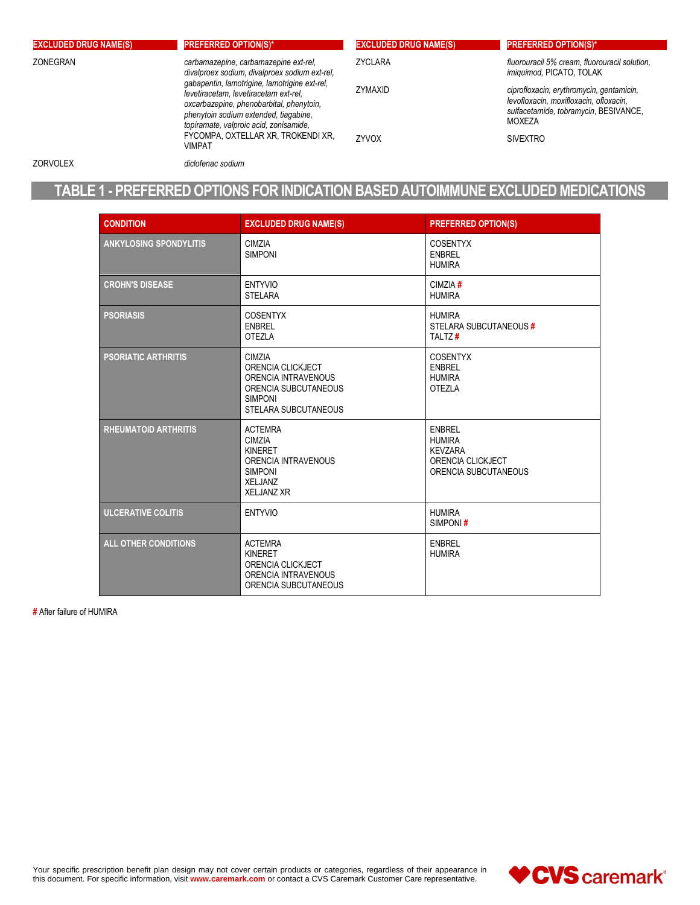#### **EXCLUDED DRUG NAME(S) PREFERRED OPTION(S)\***

ZONEGRAN *carbamazepine, carbamazepine ext-rel, divalproex sodium, divalproex sodium ext-rel, gabapentin, lamotrigine, lamotrigine ext-rel, levetiracetam, levetiracetam ext-rel, oxcarbazepine, phenobarbital, phenytoin, phenytoin sodium extended, tiagabine, topiramate, valproic acid, zonisamide,*  FYCOMPA, OXTELLAR XR, TROKENDI XR, VIMPAT

|  |  | AULUDED DRUG NAME() |
|--|--|---------------------|
|  |  |                     |
|  |  |                     |

**EXCLUDED DRUG NAME(S) PREFERRED OPTION(S)\***

ZYCLARA *fluorouracil 5% cream, fluorouracil solution, imiquimod,* PICATO, TOLAK

ZYMAXID *ciprofloxacin, erythromycin, gentamicin, levofloxacin, moxifloxacin, ofloxacin, sulfacetamide, tobramycin*, BESIVANCE, MOXEZA

ZYVOX SIVEXTRO

ZORVOLEX *diclofenac sodium*

## **TABLE 1 - PREFERRED OPTIONS FOR INDICATION BASED AUTOIMMUNE EXCLUDED MEDICATIONS**

| <b>CONDITION</b>              | <b>EXCLUDED DRUG NAME(S)</b>                                                                                                | <b>PREFERRED OPTION(S)</b>                                                                    |
|-------------------------------|-----------------------------------------------------------------------------------------------------------------------------|-----------------------------------------------------------------------------------------------|
| <b>ANKYLOSING SPONDYLITIS</b> | <b>CIMZIA</b><br><b>SIMPONI</b>                                                                                             | <b>COSENTYX</b><br><b>ENBREL</b><br><b>HUMIRA</b>                                             |
| <b>CROHN'S DISEASE</b>        | <b>ENTYVIO</b><br><b>STELARA</b>                                                                                            | CIMZIA#<br><b>HUMIRA</b>                                                                      |
| <b>PSORIASIS</b>              | <b>COSENTYX</b><br><b>ENBREL</b><br><b>OTEZLA</b>                                                                           | <b>HUMIRA</b><br>STELARA SUBCUTANEOUS #<br>TALTZ#                                             |
| <b>PSORIATIC ARTHRITIS</b>    | <b>CIMZIA</b><br>ORENCIA CLICKJECT<br>ORENCIA INTRAVENOUS<br>ORENCIA SUBCUTANEOUS<br><b>SIMPONI</b><br>STELARA SUBCUTANEOUS | <b>COSENTYX</b><br><b>FNBRFI</b><br><b>HUMIRA</b><br><b>OTEZLA</b>                            |
| <b>RHEUMATOID ARTHRITIS</b>   | <b>ACTEMRA</b><br><b>CIMZIA</b><br><b>KINERET</b><br>ORENCIA INTRAVENOUS<br><b>SIMPONI</b><br>XELJANZ<br><b>XELJANZ XR</b>  | <b>ENBREL</b><br><b>HUMIRA</b><br><b>KEVZARA</b><br>ORENCIA CLICKJECT<br>ORENCIA SUBCUTANEOUS |
| <b>ULCERATIVE COLITIS</b>     | <b>ENTYVIO</b>                                                                                                              | <b>HUMIRA</b><br>SIMPONI#                                                                     |
| <b>ALL OTHER CONDITIONS</b>   | <b>ACTEMRA</b><br><b>KINERET</b><br>ORENCIA CLICKJECT<br><b>ORENCIA INTRAVENOUS</b><br>ORENCIA SUBCUTANEOUS                 | <b>ENBREL</b><br><b>HUMIRA</b>                                                                |

**#** After failure of HUMIRA